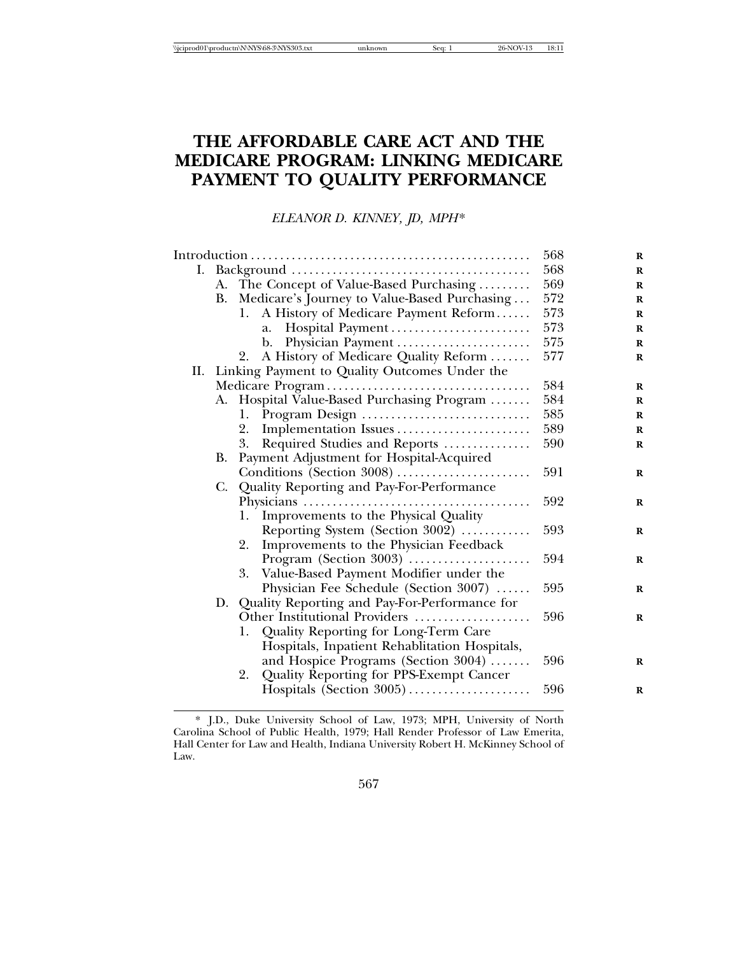# **THE AFFORDABLE CARE ACT AND THE MEDICARE PROGRAM: LINKING MEDICARE PAYMENT TO QUALITY PERFORMANCE**

*ELEANOR D. KINNEY, JD, MPH*\*

|  |           | 568                                               | $\bf{R}$ |             |
|--|-----------|---------------------------------------------------|----------|-------------|
|  |           |                                                   | 568      | $\mathbf R$ |
|  |           | A. The Concept of Value-Based Purchasing          | 569      | $\mathbf R$ |
|  |           | B. Medicare's Journey to Value-Based Purchasing   | 572      | $\bf{R}$    |
|  |           | A History of Medicare Payment Reform<br>1.        | 573      | $\mathbf R$ |
|  |           | Hospital Payment<br>a.                            | 573      | $\bf{R}$    |
|  |           | Physician Payment<br>b.                           | 575      | $\mathbf R$ |
|  |           | A History of Medicare Quality Reform<br>2.        | 577      | $\mathbf R$ |
|  |           | II. Linking Payment to Quality Outcomes Under the |          |             |
|  |           |                                                   | 584      | $\mathbf R$ |
|  |           | A. Hospital Value-Based Purchasing Program        | 584      | $\bf R$     |
|  |           | 1.                                                | 585      | $\bf{R}$    |
|  |           | Implementation Issues<br>2.                       | 589      | $\mathbf R$ |
|  |           | Required Studies and Reports<br>3.                | 590      | $\bf{R}$    |
|  | <b>B.</b> | Payment Adjustment for Hospital-Acquired          |          |             |
|  |           | Conditions (Section 3008)                         | 591      | $\bf R$     |
|  |           | C. Quality Reporting and Pay-For-Performance      |          |             |
|  |           |                                                   | 592      | $\bf{R}$    |
|  |           | Improvements to the Physical Quality<br>1.        |          |             |
|  |           | Reporting System (Section 3002)                   | 593      | R           |
|  |           | Improvements to the Physician Feedback<br>2.      |          |             |
|  |           | Program (Section 3003)                            | 594      | $\bf R$     |
|  |           | 3. Value-Based Payment Modifier under the         |          |             |
|  |           | Physician Fee Schedule (Section 3007)             | 595      | $\bf R$     |
|  |           | D. Quality Reporting and Pay-For-Performance for  |          |             |
|  |           | Other Institutional Providers                     | 596      | $\bf R$     |
|  |           | Quality Reporting for Long-Term Care<br>1.        |          |             |
|  |           | Hospitals, Inpatient Rehablitation Hospitals,     |          |             |
|  |           | and Hospice Programs (Section 3004)               | 596      | $\bf R$     |
|  |           | Quality Reporting for PPS-Exempt Cancer<br>2.     |          |             |
|  |           | Hospitals (Section 3005)                          | 596      | R           |
|  |           |                                                   |          |             |

\* J.D., Duke University School of Law, 1973; MPH, University of North Carolina School of Public Health, 1979; Hall Render Professor of Law Emerita, Hall Center for Law and Health, Indiana University Robert H. McKinney School of Law.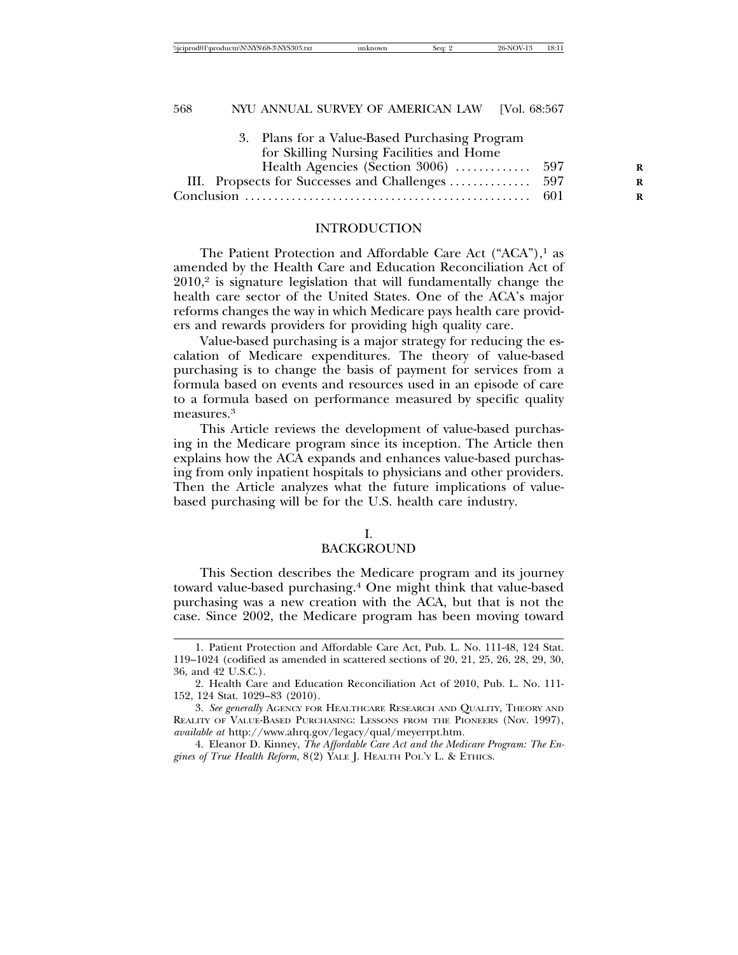|      | R |
|------|---|
|      | R |
| -601 | R |
|      |   |

#### INTRODUCTION

The Patient Protection and Affordable Care Act ("ACA"),<sup>1</sup> as amended by the Health Care and Education Reconciliation Act of  $2010$ ,<sup>2</sup> is signature legislation that will fundamentally change the health care sector of the United States. One of the ACA's major reforms changes the way in which Medicare pays health care providers and rewards providers for providing high quality care.

Value-based purchasing is a major strategy for reducing the escalation of Medicare expenditures. The theory of value-based purchasing is to change the basis of payment for services from a formula based on events and resources used in an episode of care to a formula based on performance measured by specific quality measures.3

This Article reviews the development of value-based purchasing in the Medicare program since its inception. The Article then explains how the ACA expands and enhances value-based purchasing from only inpatient hospitals to physicians and other providers. Then the Article analyzes what the future implications of valuebased purchasing will be for the U.S. health care industry.

#### I.

#### BACKGROUND

This Section describes the Medicare program and its journey toward value-based purchasing.4 One might think that value-based purchasing was a new creation with the ACA, but that is not the case. Since 2002, the Medicare program has been moving toward

4. Eleanor D. Kinney, *The Affordable Care Act and the Medicare Program: The Engines of True Health Reform*, 8(2) YALE J. HEALTH POL'Y L. & ETHICS.

<sup>1.</sup> Patient Protection and Affordable Care Act, Pub. L. No. 111-48, 124 Stat. 119–1024 (codified as amended in scattered sections of 20, 21, 25, 26, 28, 29, 30, 36, and 42 U.S.C.).

<sup>2.</sup> Health Care and Education Reconciliation Act of 2010, Pub. L. No. 111- 152, 124 Stat. 1029–83 (2010).

<sup>3.</sup> *See generally* AGENCY FOR HEALTHCARE RESEARCH AND QUALITY, THEORY AND REALITY OF VALUE-BASED PURCHASING: LESSONS FROM THE PIONEERS (Nov. 1997), *available at* http://www.ahrq.gov/legacy/qual/meyerrpt.htm.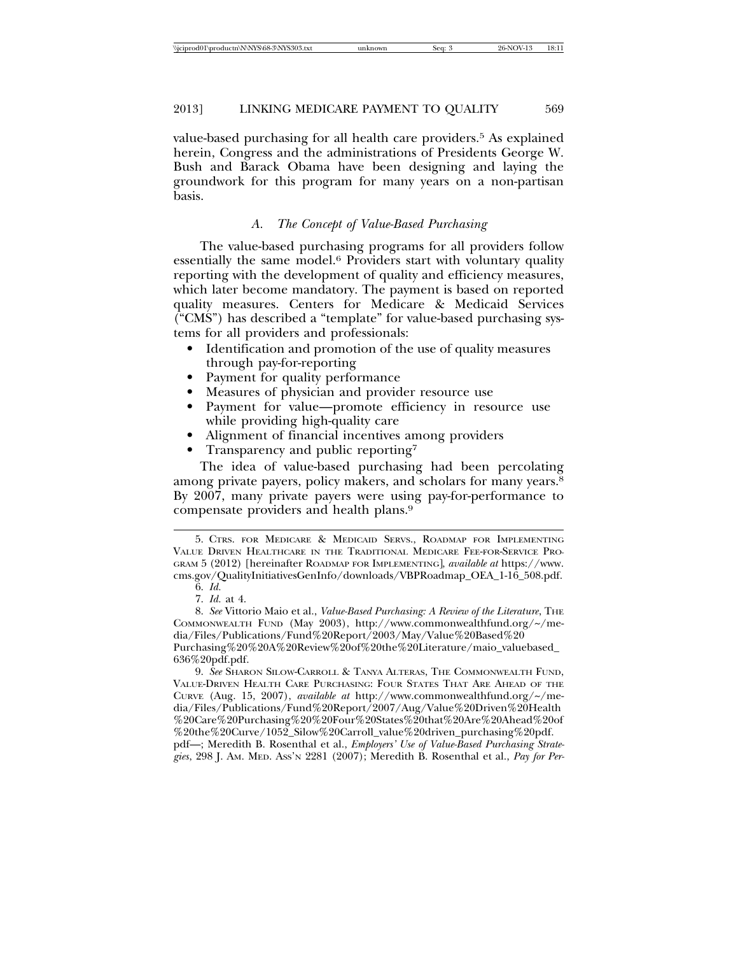value-based purchasing for all health care providers.<sup>5</sup> As explained herein, Congress and the administrations of Presidents George W. Bush and Barack Obama have been designing and laying the groundwork for this program for many years on a non-partisan basis.

# *A. The Concept of Value-Based Purchasing*

The value-based purchasing programs for all providers follow essentially the same model.6 Providers start with voluntary quality reporting with the development of quality and efficiency measures, which later become mandatory. The payment is based on reported quality measures. Centers for Medicare & Medicaid Services ("CMS") has described a "template" for value-based purchasing systems for all providers and professionals:

- Identification and promotion of the use of quality measures through pay-for-reporting
- Payment for quality performance
- Measures of physician and provider resource use
- Payment for value—promote efficiency in resource use while providing high-quality care
- Alignment of financial incentives among providers
- Transparency and public reporting<sup>7</sup>

The idea of value-based purchasing had been percolating among private payers, policy makers, and scholars for many years.8 By 2007, many private payers were using pay-for-performance to compensate providers and health plans.9

9. *See* SHARON SILOW-CARROLL & TANYA ALTERAS, THE COMMONWEALTH FUND, VALUE-DRIVEN HEALTH CARE PURCHASING: FOUR STATES THAT ARE AHEAD OF THE CURVE (Aug. 15, 2007), *available at* http://www.commonwealthfund.org/~/media/Files/Publications/Fund%20Report/2007/Aug/Value%20Driven%20Health %20Care%20Purchasing%20%20Four%20States%20that%20Are%20Ahead%20of %20the%20Curve/1052\_Silow%20Carroll\_value%20driven\_purchasing%20pdf. pdf—; Meredith B. Rosenthal et al., *Employers' Use of Value-Based Purchasing Strate-*

*gies*, 298 J. AM. MED. ASS'N 2281 (2007); Meredith B. Rosenthal et al., *Pay for Per-*

<sup>5.</sup> CTRS. FOR MEDICARE & MEDICAID SERVS., ROADMAP FOR IMPLEMENTING VALUE DRIVEN HEALTHCARE IN THE TRADITIONAL MEDICARE FEE-FOR-SERVICE PRO-GRAM 5 (2012) [hereinafter ROADMAP FOR IMPLEMENTING], *available at* https://www. cms.gov/QualityInitiativesGenInfo/downloads/VBPRoadmap\_OEA\_1-16\_508.pdf.

<sup>6.</sup> *Id.*

<sup>7.</sup> *Id.* at 4.

<sup>8.</sup> See Vittorio Maio et al., *Value-Based Purchasing: A Review of the Literature*, THE COMMONWEALTH FUND (May 2003), http://www.commonwealthfund.org/~/media/Files/Publications/Fund%20Report/2003/May/Value%20Based%20 Purchasing%20%20A%20Review%20of%20the%20Literature/maio\_valuebased\_ 636%20pdf.pdf.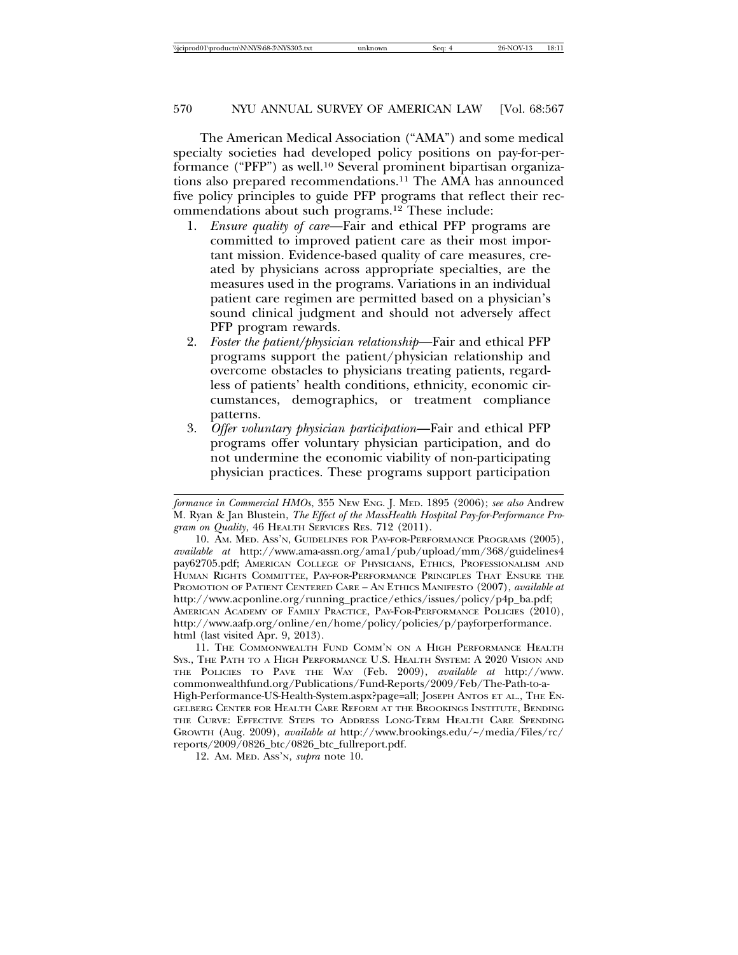The American Medical Association ("AMA") and some medical specialty societies had developed policy positions on pay-for-performance ("PFP") as well.10 Several prominent bipartisan organizations also prepared recommendations.11 The AMA has announced five policy principles to guide PFP programs that reflect their recommendations about such programs.12 These include:

- 1. *Ensure quality of care*—Fair and ethical PFP programs are committed to improved patient care as their most important mission. Evidence-based quality of care measures, created by physicians across appropriate specialties, are the measures used in the programs. Variations in an individual patient care regimen are permitted based on a physician's sound clinical judgment and should not adversely affect PFP program rewards.
- 2. *Foster the patient/physician relationship*—Fair and ethical PFP programs support the patient/physician relationship and overcome obstacles to physicians treating patients, regardless of patients' health conditions, ethnicity, economic circumstances, demographics, or treatment compliance patterns.
- 3. *Offer voluntary physician participation*—Fair and ethical PFP programs offer voluntary physician participation, and do not undermine the economic viability of non-participating physician practices. These programs support participation

11. THE COMMONWEALTH FUND COMM'N ON A HIGH PERFORMANCE HEALTH SYS., THE PATH TO A HIGH PERFORMANCE U.S. HEALTH SYSTEM: A 2020 VISION AND THE POLICIES TO PAVE THE WAY (Feb. 2009), *available at* http://www. commonwealthfund.org/Publications/Fund-Reports/2009/Feb/The-Path-to-a-High-Performance-US-Health-System.aspx?page=all; JOSEPH ANTOS ET AL., THE EN-GELBERG CENTER FOR HEALTH CARE REFORM AT THE BROOKINGS INSTITUTE, BENDING THE CURVE: EFFECTIVE STEPS TO ADDRESS LONG-TERM HEALTH CARE SPENDING GROWTH (Aug. 2009), *available at* http://www.brookings.edu/~/media/Files/rc/ reports/2009/0826\_btc/0826\_btc\_fullreport.pdf.

12. AM. MED. ASS'N, *supra* note 10.

*formance in Commercial HMOs*, 355 NEW ENG. J. MED. 1895 (2006); *see also* Andrew M. Ryan & Jan Blustein, *The Effect of the MassHealth Hospital Pay-for-Performance Program on Quality*, 46 HEALTH SERVICES RES. 712 (2011).

<sup>10.</sup> AM. MED. ASS'N, GUIDELINES FOR PAY-FOR-PERFORMANCE PROGRAMS (2005), *available at* http://www.ama-assn.org/ama1/pub/upload/mm/368/guidelines4 pay62705.pdf; AMERICAN COLLEGE OF PHYSICIANS, ETHICS, PROFESSIONALISM AND HUMAN RIGHTS COMMITTEE, PAY-FOR-PERFORMANCE PRINCIPLES THAT ENSURE THE PROMOTION OF PATIENT CENTERED CARE – AN ETHICS MANIFESTO (2007), *available at* http://www.acponline.org/running\_practice/ethics/issues/policy/p4p\_ba.pdf; AMERICAN ACADEMY OF FAMILY PRACTICE, PAY-FOR-PERFORMANCE POLICIES (2010), http://www.aafp.org/online/en/home/policy/policies/p/payforperformance. html (last visited Apr. 9, 2013).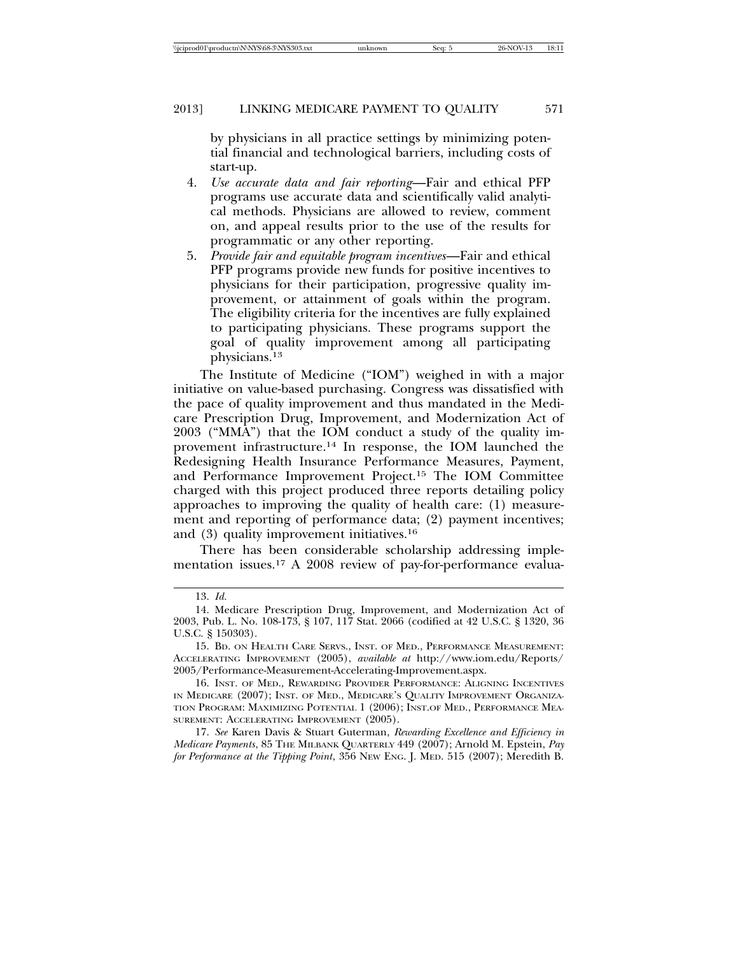by physicians in all practice settings by minimizing potential financial and technological barriers, including costs of start-up.

- 4. *Use accurate data and fair reporting*—Fair and ethical PFP programs use accurate data and scientifically valid analytical methods. Physicians are allowed to review, comment on, and appeal results prior to the use of the results for programmatic or any other reporting.
- 5. *Provide fair and equitable program incentives*—Fair and ethical PFP programs provide new funds for positive incentives to physicians for their participation, progressive quality improvement, or attainment of goals within the program. The eligibility criteria for the incentives are fully explained to participating physicians. These programs support the goal of quality improvement among all participating physicians.13

The Institute of Medicine ("IOM") weighed in with a major initiative on value-based purchasing. Congress was dissatisfied with the pace of quality improvement and thus mandated in the Medicare Prescription Drug, Improvement, and Modernization Act of 2003 ("MMA") that the IOM conduct a study of the quality improvement infrastructure.14 In response, the IOM launched the Redesigning Health Insurance Performance Measures, Payment, and Performance Improvement Project.15 The IOM Committee charged with this project produced three reports detailing policy approaches to improving the quality of health care: (1) measurement and reporting of performance data; (2) payment incentives; and (3) quality improvement initiatives.16

There has been considerable scholarship addressing implementation issues.17 A 2008 review of pay-for-performance evalua-

<sup>13.</sup> *Id.*

<sup>14.</sup> Medicare Prescription Drug, Improvement, and Modernization Act of 2003, Pub. L. No. 108-173, § 107, 117 Stat. 2066 (codified at 42 U.S.C. § 1320, 36 U.S.C. § 150303).

<sup>15.</sup> BD. ON HEALTH CARE SERVS., INST. OF MED., PERFORMANCE MEASUREMENT: ACCELERATING IMPROVEMENT (2005), *available at* http://www.iom.edu/Reports/ 2005/Performance-Measurement-Accelerating-Improvement.aspx.

<sup>16.</sup> INST. OF MED., REWARDING PROVIDER PERFORMANCE: ALIGNING INCENTIVES IN MEDICARE (2007); INST. OF MED., MEDICARE'S QUALITY IMPROVEMENT ORGANIZA-TION PROGRAM: MAXIMIZING POTENTIAL 1 (2006); INST.OF MED., PERFORMANCE MEA-SUREMENT: ACCELERATING IMPROVEMENT (2005).

<sup>17.</sup> *See* Karen Davis & Stuart Guterman, *Rewarding Excellence and Efficiency in Medicare Payments*, 85 THE MILBANK QUARTERLY 449 (2007); Arnold M. Epstein, *Pay for Performance at the Tipping Point*, 356 NEW ENG. J. MED. 515 (2007); Meredith B.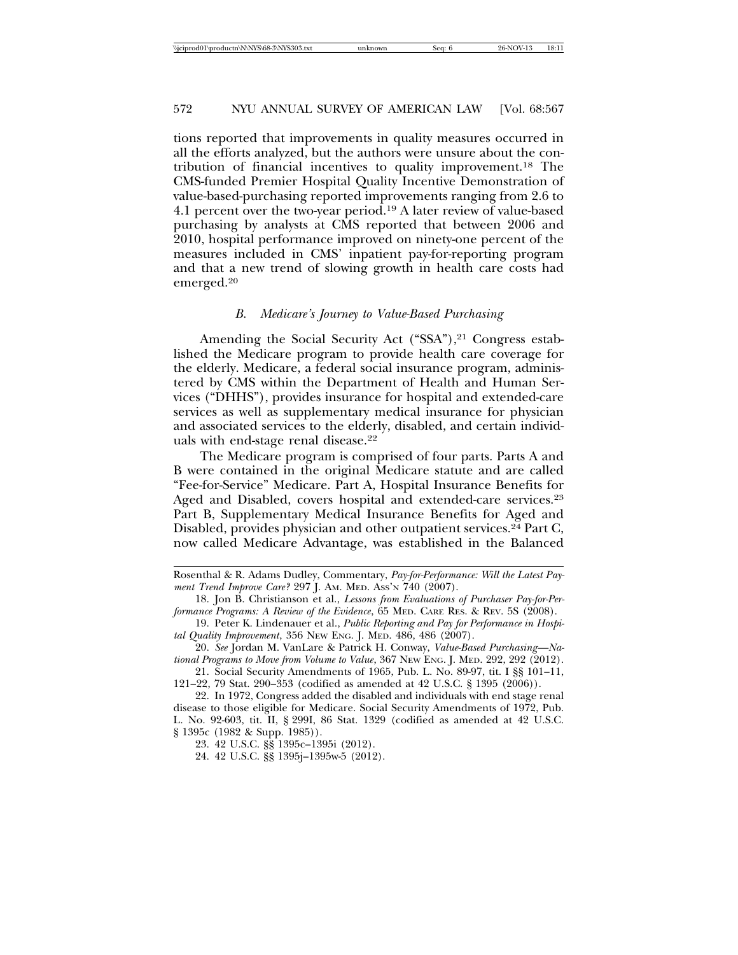tions reported that improvements in quality measures occurred in all the efforts analyzed, but the authors were unsure about the contribution of financial incentives to quality improvement.18 The CMS-funded Premier Hospital Quality Incentive Demonstration of value-based-purchasing reported improvements ranging from 2.6 to 4.1 percent over the two-year period.19 A later review of value-based purchasing by analysts at CMS reported that between 2006 and 2010, hospital performance improved on ninety-one percent of the measures included in CMS' inpatient pay-for-reporting program and that a new trend of slowing growth in health care costs had emerged.20

#### *B. Medicare's Journey to Value-Based Purchasing*

Amending the Social Security Act ("SSA"),<sup>21</sup> Congress established the Medicare program to provide health care coverage for the elderly. Medicare, a federal social insurance program, administered by CMS within the Department of Health and Human Services ("DHHS"), provides insurance for hospital and extended-care services as well as supplementary medical insurance for physician and associated services to the elderly, disabled, and certain individuals with end-stage renal disease.22

The Medicare program is comprised of four parts. Parts A and B were contained in the original Medicare statute and are called "Fee-for-Service" Medicare. Part A, Hospital Insurance Benefits for Aged and Disabled, covers hospital and extended-care services.<sup>23</sup> Part B, Supplementary Medical Insurance Benefits for Aged and Disabled, provides physician and other outpatient services.<sup>24</sup> Part C, now called Medicare Advantage, was established in the Balanced

Rosenthal & R. Adams Dudley, Commentary, *Pay-for-Performance: Will the Latest Payment Trend Improve Care?* 297 J. AM. MED. ASS'N 740 (2007).

<sup>18.</sup> Jon B. Christianson et al., *Lessons from Evaluations of Purchaser Pay-for-Performance Programs: A Review of the Evidence*, 65 MED. CARE RES. & REV. 5S (2008).

<sup>19.</sup> Peter K. Lindenauer et al., *Public Reporting and Pay for Performance in Hospital Quality Improvement*, 356 NEW ENG. J. MED. 486, 486 (2007).

<sup>20.</sup> *See* Jordan M. VanLare & Patrick H. Conway, *Value-Based Purchasing—National Programs to Move from Volume to Value*, 367 NEW ENG. J. MED. 292, 292 (2012).

<sup>21.</sup> Social Security Amendments of 1965, Pub. L. No. 89-97, tit. I §§ 101–11, 121–22, 79 Stat. 290–353 (codified as amended at 42 U.S.C. § 1395 (2006)).

<sup>22.</sup> In 1972, Congress added the disabled and individuals with end stage renal disease to those eligible for Medicare. Social Security Amendments of 1972, Pub. L. No. 92-603, tit. II, § 299I, 86 Stat. 1329 (codified as amended at 42 U.S.C. § 1395c (1982 & Supp. 1985)).

<sup>23. 42</sup> U.S.C. §§ 1395c–1395i (2012).

<sup>24. 42</sup> U.S.C. §§ 1395j–1395w-5 (2012).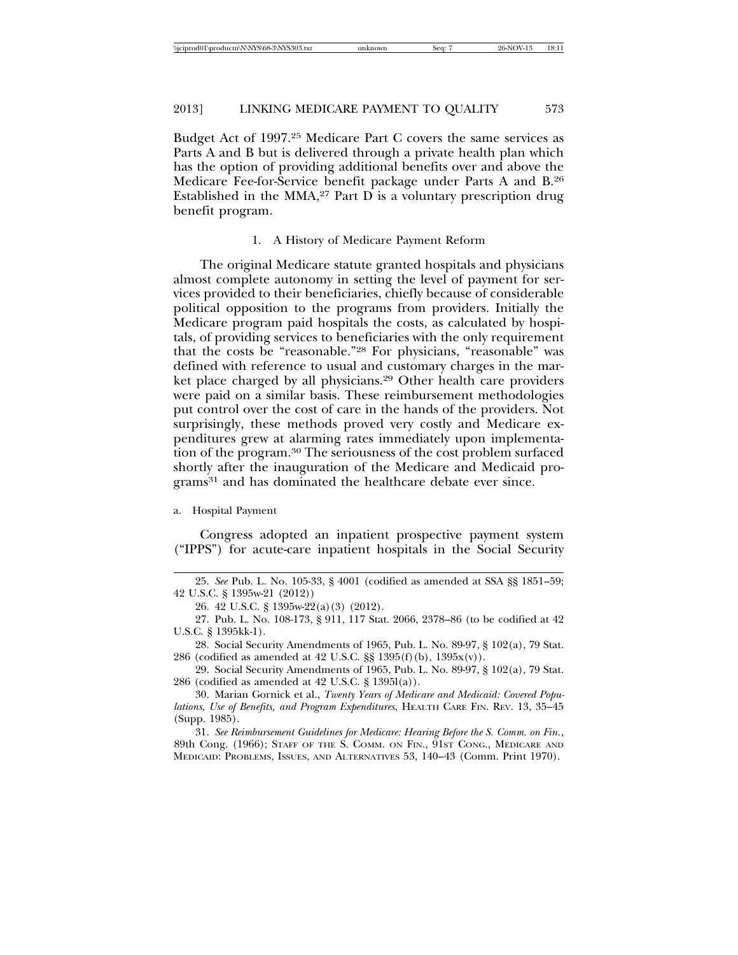Budget Act of 1997.25 Medicare Part C covers the same services as Parts A and B but is delivered through a private health plan which has the option of providing additional benefits over and above the Medicare Fee-for-Service benefit package under Parts A and B.26 Established in the MMA,<sup>27</sup> Part  $\overline{D}$  is a voluntary prescription drug benefit program.

#### 1. A History of Medicare Payment Reform

The original Medicare statute granted hospitals and physicians almost complete autonomy in setting the level of payment for services provided to their beneficiaries, chiefly because of considerable political opposition to the programs from providers. Initially the Medicare program paid hospitals the costs, as calculated by hospitals, of providing services to beneficiaries with the only requirement that the costs be "reasonable."28 For physicians, "reasonable" was defined with reference to usual and customary charges in the market place charged by all physicians.29 Other health care providers were paid on a similar basis. These reimbursement methodologies put control over the cost of care in the hands of the providers. Not surprisingly, these methods proved very costly and Medicare expenditures grew at alarming rates immediately upon implementation of the program.30 The seriousness of the cost problem surfaced shortly after the inauguration of the Medicare and Medicaid programs31 and has dominated the healthcare debate ever since.

#### a. Hospital Payment

Congress adopted an inpatient prospective payment system ("IPPS") for acute-care inpatient hospitals in the Social Security

<sup>25.</sup> *See* Pub. L. No. 105-33, § 4001 (codified as amended at SSA §§ 1851–59; 42 U.S.C. § 1395w-21 (2012))

<sup>26. 42</sup> U.S.C. § 1395w-22(a)(3) (2012).

<sup>27.</sup> Pub. L. No. 108-173, § 911, 117 Stat. 2066, 2378–86 (to be codified at 42 U.S.C. § 1395kk-1).

<sup>28.</sup> Social Security Amendments of 1965, Pub. L. No. 89-97, § 102(a), 79 Stat. 286 (codified as amended at 42 U.S.C. §§ 1395(f)(b), 1395x(v)).

<sup>29.</sup> Social Security Amendments of 1965, Pub. L. No. 89-97, § 102(a), 79 Stat. 286 (codified as amended at 42 U.S.C. § 1395l(a)).

<sup>30.</sup> Marian Gornick et al., *Twenty Years of Medicare and Medicaid: Covered Populations, Use of Benefits, and Program Expenditures*, HEALTH CARE FIN. REV. 13, 35–45 (Supp. 1985).

<sup>31.</sup> *See Reimbursement Guidelines for Medicare: Hearing Before the S. Comm. on Fin.*, 89th Cong. (1966); STAFF OF THE S. COMM. ON FIN., 91ST CONG., MEDICARE AND MEDICAID: PROBLEMS, ISSUES, AND ALTERNATIVES 53, 140–43 (Comm. Print 1970).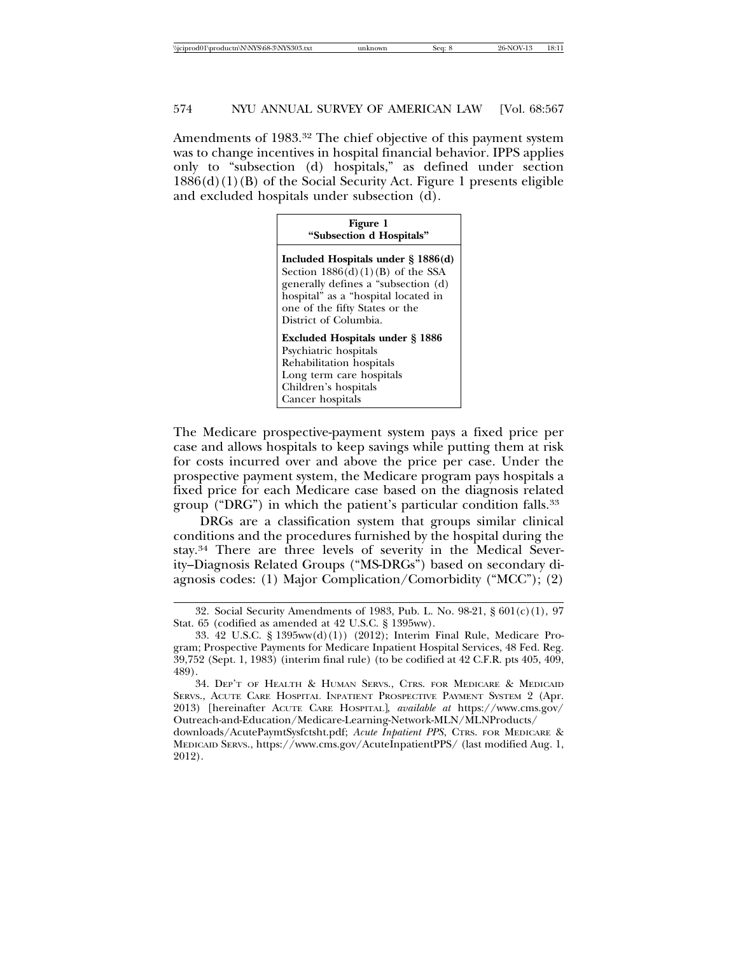Amendments of 1983.32 The chief objective of this payment system was to change incentives in hospital financial behavior. IPPS applies only to "subsection (d) hospitals," as defined under section  $1886(d)(1)(B)$  of the Social Security Act. Figure 1 presents eligible and excluded hospitals under subsection (d).

| Figure 1<br>"Subsection d Hospitals"                                                                                                                                                                                 |  |  |  |
|----------------------------------------------------------------------------------------------------------------------------------------------------------------------------------------------------------------------|--|--|--|
| Included Hospitals under $\S$ 1886(d)<br>Section $1886(d)(1)(B)$ of the SSA<br>generally defines a "subsection (d)<br>hospital" as a "hospital located in<br>one of the fifty States or the<br>District of Columbia. |  |  |  |
| <b>Excluded Hospitals under § 1886</b><br>Psychiatric hospitals<br>Rehabilitation hospitals<br>Long term care hospitals<br>Children's hospitals<br>Cancer hospitals                                                  |  |  |  |

The Medicare prospective-payment system pays a fixed price per case and allows hospitals to keep savings while putting them at risk for costs incurred over and above the price per case. Under the prospective payment system, the Medicare program pays hospitals a fixed price for each Medicare case based on the diagnosis related group ("DRG") in which the patient's particular condition falls.33

DRGs are a classification system that groups similar clinical conditions and the procedures furnished by the hospital during the stay.34 There are three levels of severity in the Medical Severity–Diagnosis Related Groups ("MS-DRGs") based on secondary diagnosis codes: (1) Major Complication/Comorbidity ("MCC"); (2)

34. DEP'T OF HEALTH & HUMAN SERVS., CTRS. FOR MEDICARE & MEDICAID SERVS., ACUTE CARE HOSPITAL INPATIENT PROSPECTIVE PAYMENT SYSTEM 2 (Apr. 2013) [hereinafter ACUTE CARE HOSPITAL], *available at* https://www.cms.gov/ Outreach-and-Education/Medicare-Learning-Network-MLN/MLNProducts/

downloads/AcutePaymtSysfctsht.pdf; *Acute Inpatient PPS*, CTRS. FOR MEDICARE & MEDICAID SERVS., https://www.cms.gov/AcuteInpatientPPS/ (last modified Aug. 1, 2012).

<sup>32.</sup> Social Security Amendments of 1983, Pub. L. No. 98-21, § 601(c)(1), 97 Stat. 65 (codified as amended at 42 U.S.C. § 1395ww).

<sup>33. 42</sup> U.S.C. § 1395ww(d)(1)) (2012); Interim Final Rule, Medicare Program; Prospective Payments for Medicare Inpatient Hospital Services, 48 Fed. Reg. 39,752 (Sept. 1, 1983) (interim final rule) (to be codified at 42 C.F.R. pts 405, 409, 489).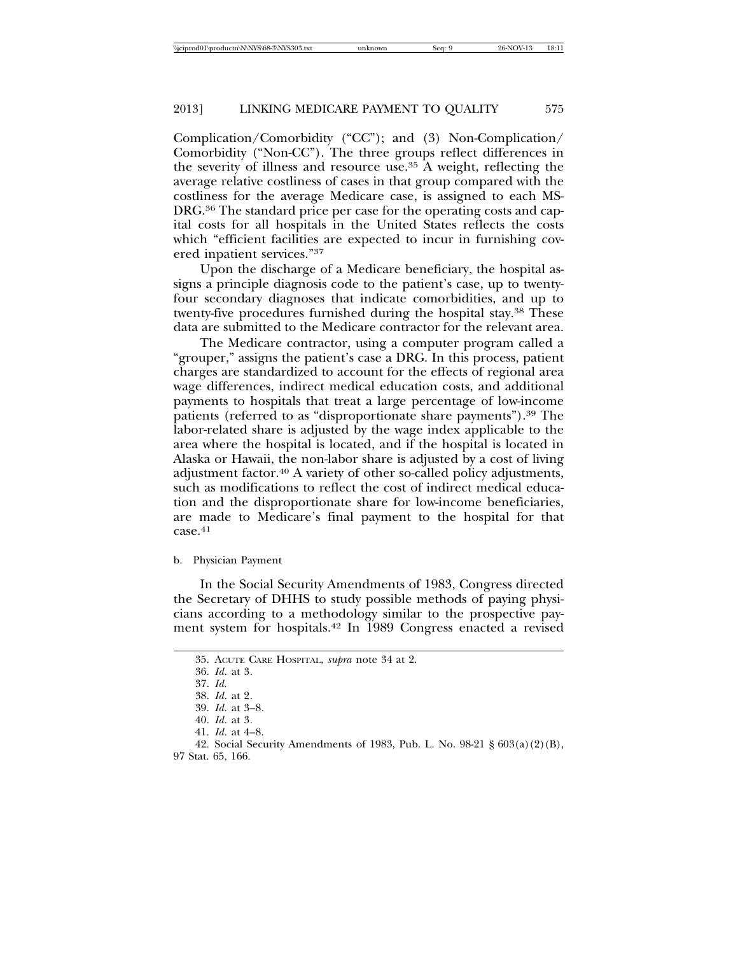Complication/Comorbidity ("CC"); and (3) Non-Complication/ Comorbidity ("Non-CC"). The three groups reflect differences in the severity of illness and resource use.35 A weight, reflecting the average relative costliness of cases in that group compared with the costliness for the average Medicare case, is assigned to each MS-DRG.36 The standard price per case for the operating costs and capital costs for all hospitals in the United States reflects the costs which "efficient facilities are expected to incur in furnishing covered inpatient services."37

Upon the discharge of a Medicare beneficiary, the hospital assigns a principle diagnosis code to the patient's case, up to twentyfour secondary diagnoses that indicate comorbidities, and up to twenty-five procedures furnished during the hospital stay.38 These data are submitted to the Medicare contractor for the relevant area.

The Medicare contractor, using a computer program called a "grouper," assigns the patient's case a DRG. In this process, patient charges are standardized to account for the effects of regional area wage differences, indirect medical education costs, and additional payments to hospitals that treat a large percentage of low-income patients (referred to as "disproportionate share payments").39 The labor-related share is adjusted by the wage index applicable to the area where the hospital is located, and if the hospital is located in Alaska or Hawaii, the non-labor share is adjusted by a cost of living adjustment factor.40 A variety of other so-called policy adjustments, such as modifications to reflect the cost of indirect medical education and the disproportionate share for low-income beneficiaries, are made to Medicare's final payment to the hospital for that case.<sup>41</sup>

b. Physician Payment

In the Social Security Amendments of 1983, Congress directed the Secretary of DHHS to study possible methods of paying physicians according to a methodology similar to the prospective payment system for hospitals.42 In 1989 Congress enacted a revised

<sup>35.</sup> ACUTE CARE HOSPITAL, *supra* note 34 at 2.

<sup>36.</sup> *Id*. at 3*.*

<sup>37.</sup> *Id.*

<sup>38.</sup> *Id*. at 2*.*

<sup>39.</sup> *Id*. at 3–8*.*

<sup>40.</sup> *Id*. at 3*.*

<sup>41.</sup> *Id*. at 4–8.

<sup>42.</sup> Social Security Amendments of 1983, Pub. L. No. 98-21 § 603(a)(2)(B), 97 Stat. 65, 166.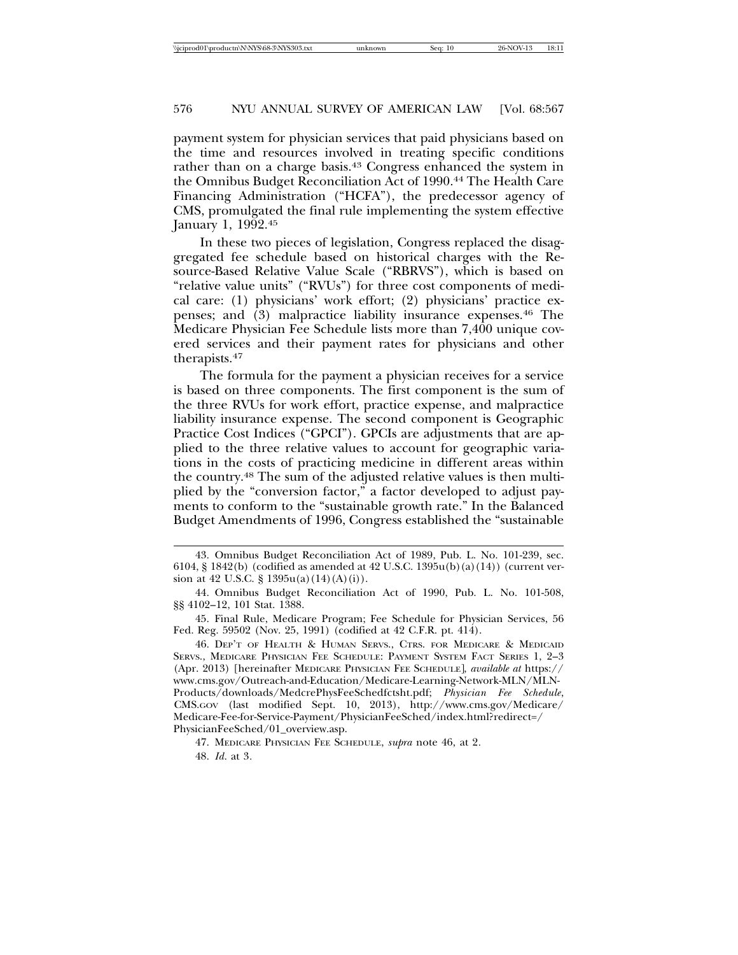payment system for physician services that paid physicians based on the time and resources involved in treating specific conditions rather than on a charge basis.<sup>43</sup> Congress enhanced the system in the Omnibus Budget Reconciliation Act of 1990.<sup>44</sup> The Health Care Financing Administration ("HCFA"), the predecessor agency of CMS, promulgated the final rule implementing the system effective January 1, 1992.45

In these two pieces of legislation, Congress replaced the disaggregated fee schedule based on historical charges with the Resource-Based Relative Value Scale ("RBRVS"), which is based on "relative value units" ("RVUs") for three cost components of medical care: (1) physicians' work effort; (2) physicians' practice expenses; and (3) malpractice liability insurance expenses.46 The Medicare Physician Fee Schedule lists more than 7,400 unique covered services and their payment rates for physicians and other therapists.47

The formula for the payment a physician receives for a service is based on three components. The first component is the sum of the three RVUs for work effort, practice expense, and malpractice liability insurance expense. The second component is Geographic Practice Cost Indices ("GPCI"). GPCIs are adjustments that are applied to the three relative values to account for geographic variations in the costs of practicing medicine in different areas within the country.48 The sum of the adjusted relative values is then multiplied by the "conversion factor," a factor developed to adjust payments to conform to the "sustainable growth rate." In the Balanced Budget Amendments of 1996, Congress established the "sustainable

45. Final Rule, Medicare Program; Fee Schedule for Physician Services, 56 Fed. Reg. 59502 (Nov. 25, 1991) (codified at 42 C.F.R. pt. 414).

46. DEP'T OF HEALTH & HUMAN SERVS., CTRS. FOR MEDICARE & MEDICAID SERVS., MEDICARE PHYSICIAN FEE SCHEDULE: PAYMENT SYSTEM FACT SERIES 1, 2–3 (Apr. 2013) [hereinafter MEDICARE PHYSICIAN FEE SCHEDULE], *available at* https:// www.cms.gov/Outreach-and-Education/Medicare-Learning-Network-MLN/MLN-Products/downloads/MedcrePhysFeeSchedfctsht.pdf; *Physician Fee Schedule*, CMS.GOV (last modified Sept. 10, 2013), http://www.cms.gov/Medicare/ Medicare-Fee-for-Service-Payment/PhysicianFeeSched/index.html?redirect=/ PhysicianFeeSched/01\_overview.asp.

47. MEDICARE PHYSICIAN FEE SCHEDULE, *supra* note 46, at 2*.* 48. *Id*. at 3*.*

<sup>43.</sup> Omnibus Budget Reconciliation Act of 1989, Pub. L. No. 101-239, sec. 6104, § 1842(b) (codified as amended at 42 U.S.C. 1395u(b)(a)(14)) (current version at 42 U.S.C.  $\S$  1395u(a)(14)(A)(i)).

<sup>44.</sup> Omnibus Budget Reconciliation Act of 1990, Pub. L. No. 101-508, §§ 4102–12, 101 Stat. 1388.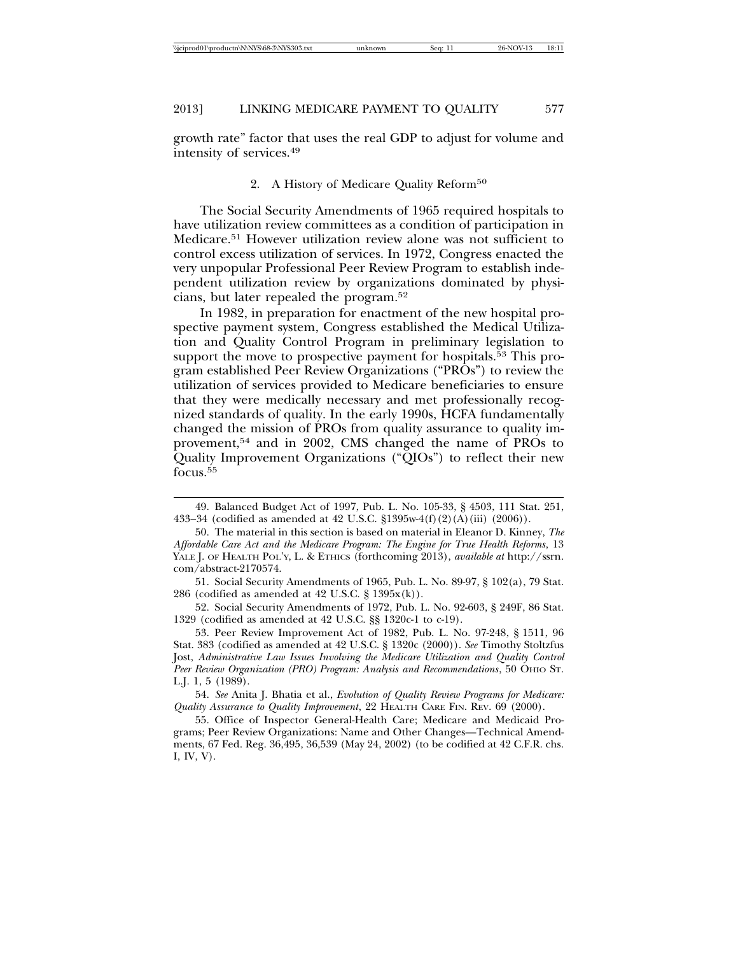growth rate" factor that uses the real GDP to adjust for volume and intensity of services.49

#### 2. A History of Medicare Quality Reform<sup>50</sup>

The Social Security Amendments of 1965 required hospitals to have utilization review committees as a condition of participation in Medicare.51 However utilization review alone was not sufficient to control excess utilization of services. In 1972, Congress enacted the very unpopular Professional Peer Review Program to establish independent utilization review by organizations dominated by physicians, but later repealed the program.52

In 1982, in preparation for enactment of the new hospital prospective payment system, Congress established the Medical Utilization and Quality Control Program in preliminary legislation to support the move to prospective payment for hospitals.<sup>53</sup> This program established Peer Review Organizations ("PROs") to review the utilization of services provided to Medicare beneficiaries to ensure that they were medically necessary and met professionally recognized standards of quality. In the early 1990s, HCFA fundamentally changed the mission of PROs from quality assurance to quality improvement,54 and in 2002, CMS changed the name of PROs to Quality Improvement Organizations ("QIOs") to reflect their new focus.55

52. Social Security Amendments of 1972, Pub. L. No. 92-603, § 249F, 86 Stat. 1329 (codified as amended at 42 U.S.C. §§ 1320c-1 to c-19).

54. *See* Anita J. Bhatia et al., *Evolution of Quality Review Programs for Medicare: Quality Assurance to Quality Improvement*, 22 HEALTH CARE FIN. REV. 69 (2000).

<sup>49.</sup> Balanced Budget Act of 1997, Pub. L. No. 105-33, § 4503, 111 Stat. 251, 433–34 (codified as amended at 42 U.S.C. §1395w-4(f)(2)(A)(iii) (2006)).

<sup>50.</sup> The material in this section is based on material in Eleanor D. Kinney, *The Affordable Care Act and the Medicare Program: The Engine for True Health Reforms*, 13 YALE J. OF HEALTH POL'Y, L. & ETHICS (forthcoming 2013), *available at* http://ssrn. com/abstract-2170574.

<sup>51.</sup> Social Security Amendments of 1965, Pub. L. No. 89-97, § 102(a), 79 Stat. 286 (codified as amended at 42 U.S.C.  $\S 1395x(k)$ ).

<sup>53.</sup> Peer Review Improvement Act of 1982, Pub. L. No. 97-248, § 1511, 96 Stat. 383 (codified as amended at 42 U.S.C. § 1320c (2000)). *See* Timothy Stoltzfus Jost, *Administrative Law Issues Involving the Medicare Utilization and Quality Control Peer Review Organization (PRO) Program: Analysis and Recommendations*, 50 OHIO ST. L.J. 1, 5 (1989).

<sup>55.</sup> Office of Inspector General-Health Care; Medicare and Medicaid Programs; Peer Review Organizations: Name and Other Changes—Technical Amendments, 67 Fed. Reg. 36,495, 36,539 (May 24, 2002) (to be codified at 42 C.F.R. chs. I, IV, V).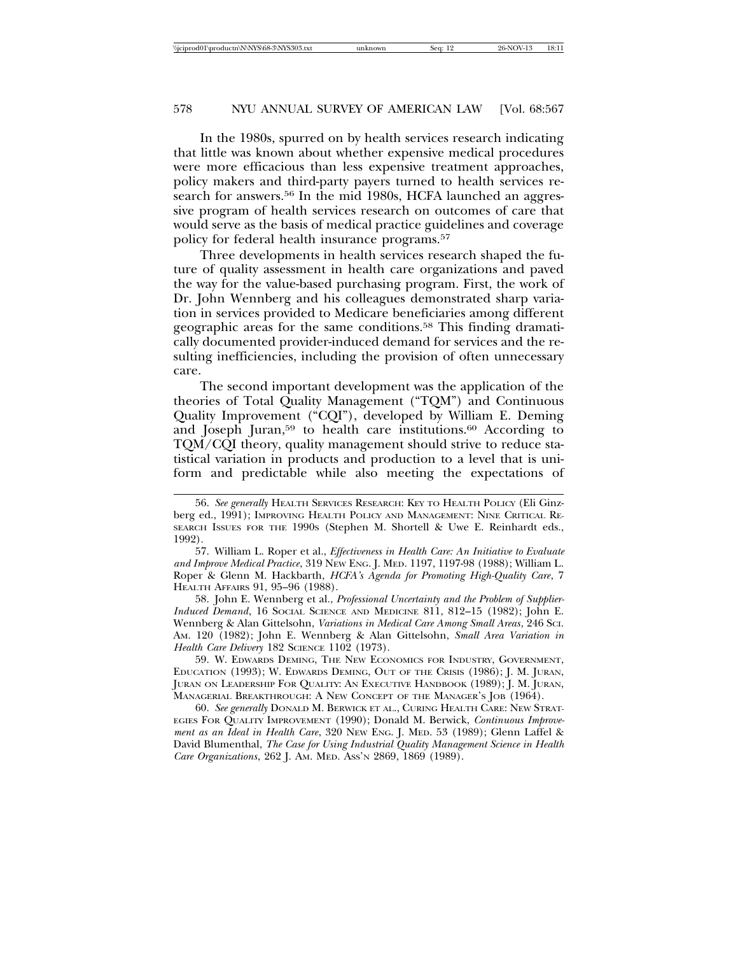In the 1980s, spurred on by health services research indicating that little was known about whether expensive medical procedures were more efficacious than less expensive treatment approaches, policy makers and third-party payers turned to health services research for answers.<sup>56</sup> In the mid 1980s, HCFA launched an aggressive program of health services research on outcomes of care that would serve as the basis of medical practice guidelines and coverage policy for federal health insurance programs.57

Three developments in health services research shaped the future of quality assessment in health care organizations and paved the way for the value-based purchasing program. First, the work of Dr. John Wennberg and his colleagues demonstrated sharp variation in services provided to Medicare beneficiaries among different geographic areas for the same conditions.58 This finding dramatically documented provider-induced demand for services and the resulting inefficiencies, including the provision of often unnecessary care.

The second important development was the application of the theories of Total Quality Management ("TQM") and Continuous Quality Improvement ("CQI"), developed by William E. Deming and Joseph Juran,<sup>59</sup> to health care institutions.<sup>60</sup> According to TQM/CQI theory, quality management should strive to reduce statistical variation in products and production to a level that is uniform and predictable while also meeting the expectations of

58. John E. Wennberg et al., *Professional Uncertainty and the Problem of Supplier-Induced Demand*, 16 SOCIAL SCIENCE AND MEDICINE 811, 812–15 (1982); John E. Wennberg & Alan Gittelsohn, *Variations in Medical Care Among Small Areas*, 246 SCI. AM. 120 (1982); John E. Wennberg & Alan Gittelsohn, *Small Area Variation in Health Care Delivery* 182 SCIENCE 1102 (1973).

59. W. EDWARDS DEMING, THE NEW ECONOMICS FOR INDUSTRY, GOVERNMENT, EDUCATION (1993); W. EDWARDS DEMING, OUT OF THE CRISIS (1986); J. M. JURAN, JURAN ON LEADERSHIP FOR QUALITY: AN EXECUTIVE HANDBOOK (1989); J. M. JURAN, MANAGERIAL BREAKTHROUGH: A NEW CONCEPT OF THE MANAGER'S JOB (1964).

60. *See generally* DONALD M. BERWICK ET AL., CURING HEALTH CARE: NEW STRAT-EGIES FOR QUALITY IMPROVEMENT (1990); Donald M. Berwick, *Continuous Improvement as an Ideal in Health Care*, 320 NEW ENG. J. MED. 53 (1989); Glenn Laffel & David Blumenthal, *The Case for Using Industrial Quality Management Science in Health Care Organizations*, 262 J. AM. MED. ASS'N 2869, 1869 (1989).

<sup>56.</sup> *See generally* HEALTH SERVICES RESEARCH: KEY TO HEALTH POLICY (Eli Ginzberg ed., 1991); IMPROVING HEALTH POLICY AND MANAGEMENT: NINE CRITICAL RE-SEARCH ISSUES FOR THE 1990S (Stephen M. Shortell & Uwe E. Reinhardt eds., 1992).

<sup>57.</sup> William L. Roper et al., *Effectiveness in Health Care: An Initiative to Evaluate and Improve Medical Practice*, 319 NEW ENG. J. MED. 1197, 1197-98 (1988); William L. Roper & Glenn M. Hackbarth, *HCFA's Agenda for Promoting High-Quality Care*, 7 HEALTH AFFAIRS 91, 95–96 (1988).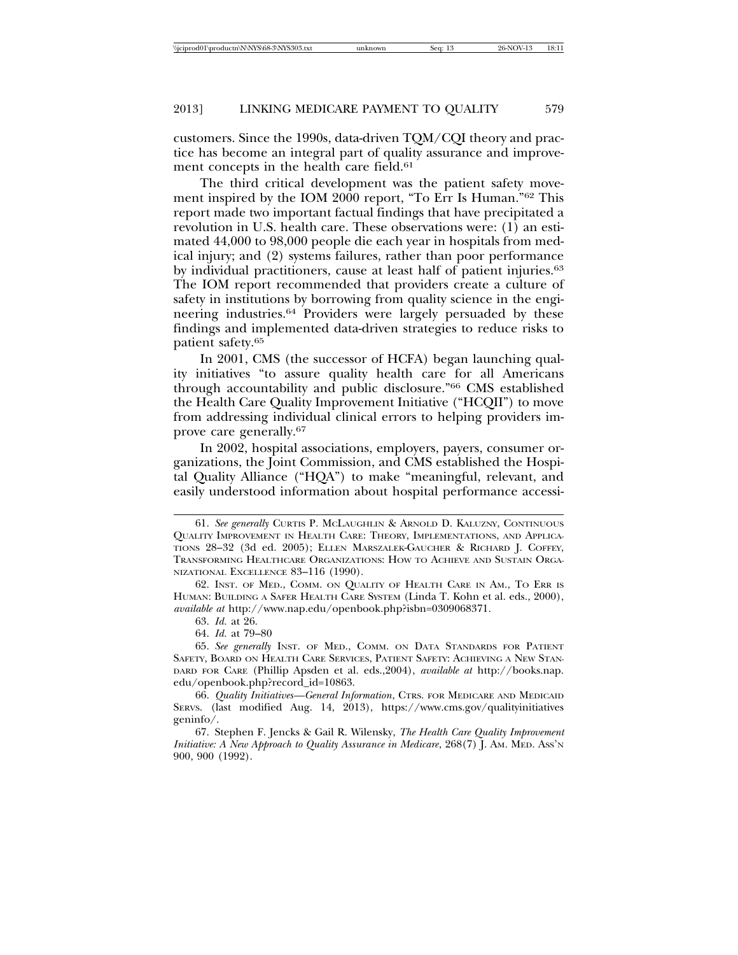customers. Since the 1990s, data-driven TQM/CQI theory and practice has become an integral part of quality assurance and improvement concepts in the health care field.<sup>61</sup>

The third critical development was the patient safety movement inspired by the IOM 2000 report, "To Err Is Human."62 This report made two important factual findings that have precipitated a revolution in U.S. health care. These observations were: (1) an estimated 44,000 to 98,000 people die each year in hospitals from medical injury; and (2) systems failures, rather than poor performance by individual practitioners, cause at least half of patient injuries.63 The IOM report recommended that providers create a culture of safety in institutions by borrowing from quality science in the engineering industries.64 Providers were largely persuaded by these findings and implemented data-driven strategies to reduce risks to patient safety.65

In 2001, CMS (the successor of HCFA) began launching quality initiatives "to assure quality health care for all Americans through accountability and public disclosure."66 CMS established the Health Care Quality Improvement Initiative ("HCQII") to move from addressing individual clinical errors to helping providers improve care generally.67

In 2002, hospital associations, employers, payers, consumer organizations, the Joint Commission, and CMS established the Hospital Quality Alliance ("HQA") to make "meaningful, relevant, and easily understood information about hospital performance accessi-

<sup>61.</sup> *See generally* CURTIS P. MCLAUGHLIN & ARNOLD D. KALUZNY, CONTINUOUS QUALITY IMPROVEMENT IN HEALTH CARE: THEORY, IMPLEMENTATIONS, AND APPLICA-TIONS 28–32 (3d ed. 2005); ELLEN MARSZALEK-GAUCHER & RICHARD J. COFFEY, TRANSFORMING HEALTHCARE ORGANIZATIONS: HOW TO ACHIEVE AND SUSTAIN ORGA-NIZATIONAL EXCELLENCE 83–116 (1990).

<sup>62.</sup> INST. OF MED., COMM. ON QUALITY OF HEALTH CARE IN AM., TO ERR IS HUMAN: BUILDING A SAFER HEALTH CARE SYSTEM (Linda T. Kohn et al. eds., 2000), *available at* http://www.nap.edu/openbook.php?isbn=0309068371.

<sup>63.</sup> *Id.* at 26.

<sup>64.</sup> *Id.* at 79–80

<sup>65.</sup> *See generally* INST. OF MED., COMM. ON DATA STANDARDS FOR PATIENT SAFETY, BOARD ON HEALTH CARE SERVICES, PATIENT SAFETY: ACHIEVING A NEW STAN-DARD FOR CARE (Phillip Apsden et al. eds.,2004), *available at* http://books.nap. edu/openbook.php?record\_id=10863.

<sup>66.</sup> *Quality Initiatives—General Information*, CTRS. FOR MEDICARE AND MEDICAID SERVS. (last modified Aug. 14, 2013), https://www.cms.gov/qualityinitiatives geninfo/.

<sup>67.</sup> Stephen F. Jencks & Gail R. Wilensky, *The Health Care Quality Improvement Initiative: A New Approach to Quality Assurance in Medicare,* 268(7) J. Am. MED. Ass'N 900, 900 (1992).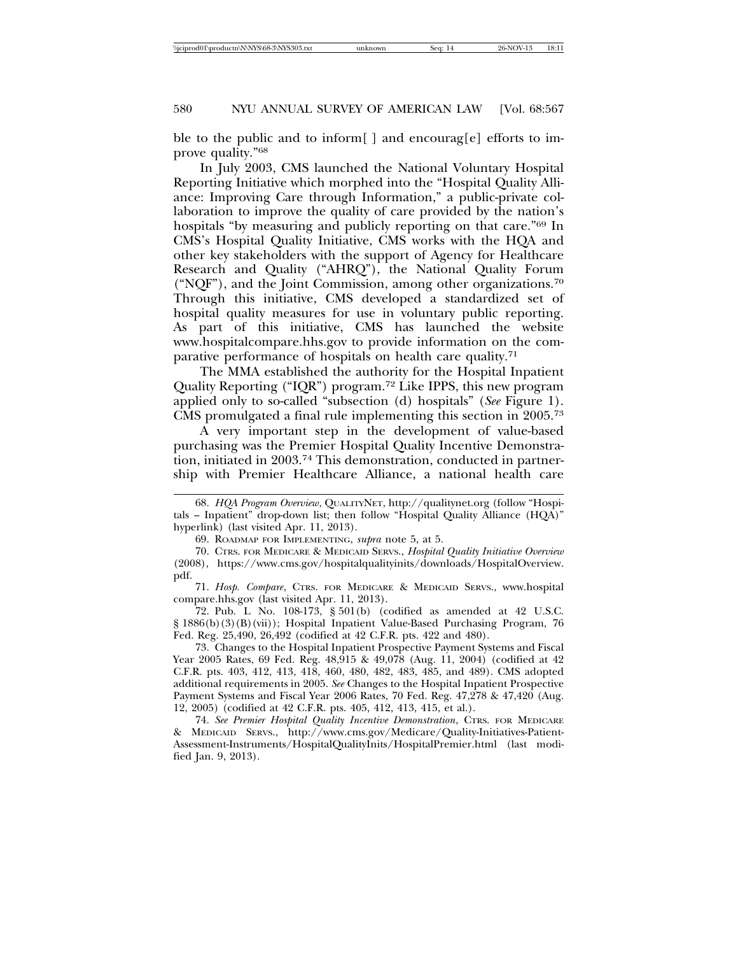ble to the public and to inform [ ] and encourag [e] efforts to improve quality."68

In July 2003, CMS launched the National Voluntary Hospital Reporting Initiative which morphed into the "Hospital Quality Alliance: Improving Care through Information," a public-private collaboration to improve the quality of care provided by the nation's hospitals "by measuring and publicly reporting on that care."69 In CMS's Hospital Quality Initiative, CMS works with the HQA and other key stakeholders with the support of Agency for Healthcare Research and Quality ("AHRQ"), the National Quality Forum ("NQF"), and the Joint Commission, among other organizations.70 Through this initiative, CMS developed a standardized set of hospital quality measures for use in voluntary public reporting. As part of this initiative, CMS has launched the website www.hospitalcompare.hhs.gov to provide information on the comparative performance of hospitals on health care quality.71

The MMA established the authority for the Hospital Inpatient Quality Reporting ("IQR") program.72 Like IPPS, this new program applied only to so-called "subsection (d) hospitals" (*See* Figure 1). CMS promulgated a final rule implementing this section in 2005.73

A very important step in the development of value-based purchasing was the Premier Hospital Quality Incentive Demonstration, initiated in 2003.74 This demonstration, conducted in partnership with Premier Healthcare Alliance, a national health care

<sup>68.</sup> *HQA Program Overview*, QUALITYNET, http://qualitynet.org (follow "Hospitals – Inpatient" drop-down list; then follow "Hospital Quality Alliance (HQA)" hyperlink) (last visited Apr. 11, 2013).

<sup>69.</sup> ROADMAP FOR IMPLEMENTING, *supra* note 5, at 5.

<sup>70.</sup> CTRS. FOR MEDICARE & MEDICAID SERVS., *Hospital Quality Initiative Overview* (2008), https://www.cms.gov/hospitalqualityinits/downloads/HospitalOverview. pdf.

<sup>71.</sup> *Hosp. Compare*, CTRS. FOR MEDICARE & MEDICAID SERVS., www.hospital compare.hhs.gov (last visited Apr. 11, 2013).

<sup>72.</sup> Pub. L No. 108-173, § 501(b) (codified as amended at 42 U.S.C. § 1886(b)(3)(B)(vii)); Hospital Inpatient Value-Based Purchasing Program, 76 Fed. Reg. 25,490, 26,492 (codified at 42 C.F.R. pts. 422 and 480).

<sup>73.</sup> Changes to the Hospital Inpatient Prospective Payment Systems and Fiscal Year 2005 Rates, 69 Fed. Reg. 48,915 & 49,078 (Aug. 11, 2004) (codified at 42 C.F.R. pts. 403, 412, 413, 418, 460, 480, 482, 483, 485, and 489). CMS adopted additional requirements in 2005. *See* Changes to the Hospital Inpatient Prospective Payment Systems and Fiscal Year 2006 Rates, 70 Fed. Reg. 47,278 & 47,420 (Aug. 12, 2005) (codified at 42 C.F.R. pts. 405, 412, 413, 415, et al.).

<sup>74.</sup> *See Premier Hospital Quality Incentive Demonstration*, CTRS. FOR MEDICARE & MEDICAID SERVS., http://www.cms.gov/Medicare/Quality-Initiatives-Patient-Assessment-Instruments/HospitalQualityInits/HospitalPremier.html (last modified Jan. 9, 2013).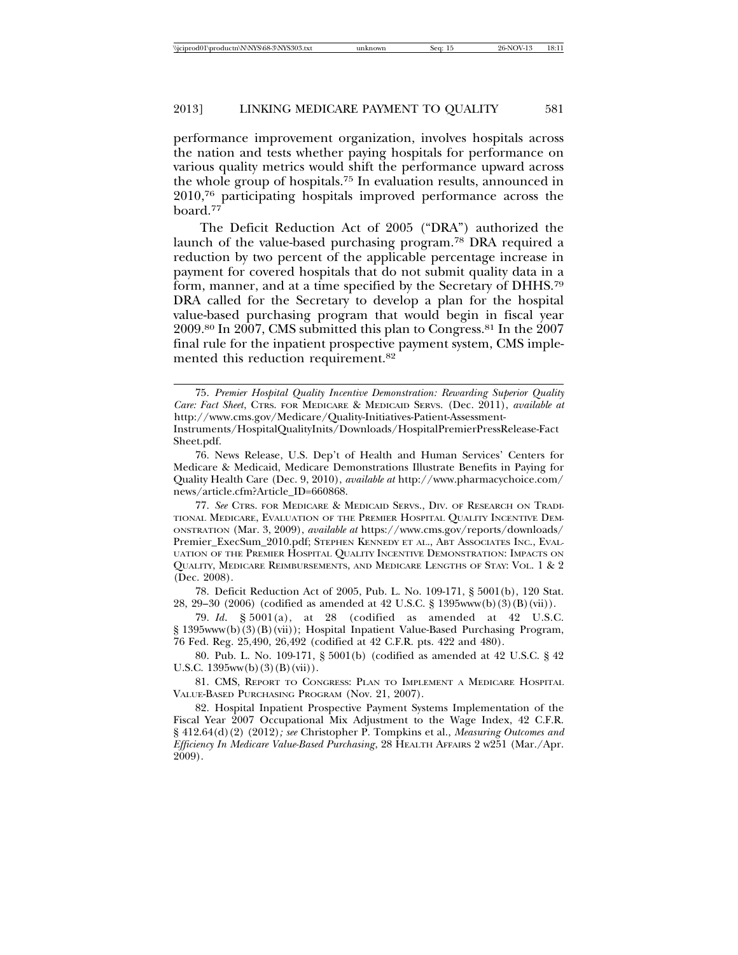performance improvement organization, involves hospitals across the nation and tests whether paying hospitals for performance on various quality metrics would shift the performance upward across the whole group of hospitals.75 In evaluation results, announced in 2010,76 participating hospitals improved performance across the board.77

The Deficit Reduction Act of 2005 ("DRA") authorized the launch of the value-based purchasing program.78 DRA required a reduction by two percent of the applicable percentage increase in payment for covered hospitals that do not submit quality data in a form, manner, and at a time specified by the Secretary of DHHS.79 DRA called for the Secretary to develop a plan for the hospital value-based purchasing program that would begin in fiscal year 2009.80 In 2007, CMS submitted this plan to Congress.81 In the 2007 final rule for the inpatient prospective payment system, CMS implemented this reduction requirement.<sup>82</sup>

<sup>75.</sup> *Premier Hospital Quality Incentive Demonstration: Rewarding Superior Quality Care: Fact Sheet*, CTRS. FOR MEDICARE & MEDICAID SERVS. (Dec. 2011), *available at* http://www.cms.gov/Medicare/Quality-Initiatives-Patient-Assessment-Instruments/HospitalQualityInits/Downloads/HospitalPremierPressRelease-Fact Sheet.pdf.

<sup>76.</sup> News Release, U.S. Dep't of Health and Human Services' Centers for Medicare & Medicaid, Medicare Demonstrations Illustrate Benefits in Paying for Quality Health Care (Dec. 9, 2010), *available at* http://www.pharmacychoice.com/ news/article.cfm?Article\_ID=660868.

<sup>77.</sup> *See* CTRS. FOR MEDICARE & MEDICAID SERVS., DIV. OF RESEARCH ON TRADI-TIONAL MEDICARE, EVALUATION OF THE PREMIER HOSPITAL QUALITY INCENTIVE DEM-ONSTRATION (Mar. 3, 2009), *available at* https://www.cms.gov/reports/downloads/ Premier\_ExecSum\_2010.pdf; STEPHEN KENNEDY ET AL., ABT ASSOCIATES INC., EVAL-UATION OF THE PREMIER HOSPITAL QUALITY INCENTIVE DEMONSTRATION: IMPACTS ON QUALITY, MEDICARE REIMBURSEMENTS, AND MEDICARE LENGTHS OF STAY: VOL. 1 & 2 (Dec. 2008).

<sup>78.</sup> Deficit Reduction Act of 2005, Pub. L. No. 109-171, § 5001(b), 120 Stat. 28, 29–30 (2006) (codified as amended at 42 U.S.C. § 1395www(b)(3)(B)(vii)).

<sup>79.</sup> *Id*. § 5001(a), at 28 (codified as amended at 42 U.S.C. § 1395www(b)(3)(B)(vii)); Hospital Inpatient Value-Based Purchasing Program, 76 Fed. Reg. 25,490, 26,492 (codified at 42 C.F.R. pts. 422 and 480).

<sup>80.</sup> Pub. L. No. 109-171, § 5001(b) (codified as amended at 42 U.S.C. § 42 U.S.C. 1395ww(b)(3)(B)(vii)).

<sup>81.</sup> CMS, REPORT TO CONGRESS: PLAN TO IMPLEMENT A MEDICARE HOSPITAL VALUE-BASED PURCHASING PROGRAM (Nov. 21, 2007).

<sup>82.</sup> Hospital Inpatient Prospective Payment Systems Implementation of the Fiscal Year 2007 Occupational Mix Adjustment to the Wage Index, 42 C.F.R. § 412.64(d)(2) (2012)*; see* Christopher P. Tompkins et al., *Measuring Outcomes and Efficiency In Medicare Value-Based Purchasing*, 28 HEALTH AFFAIRS 2 w251 (Mar./Apr. 2009).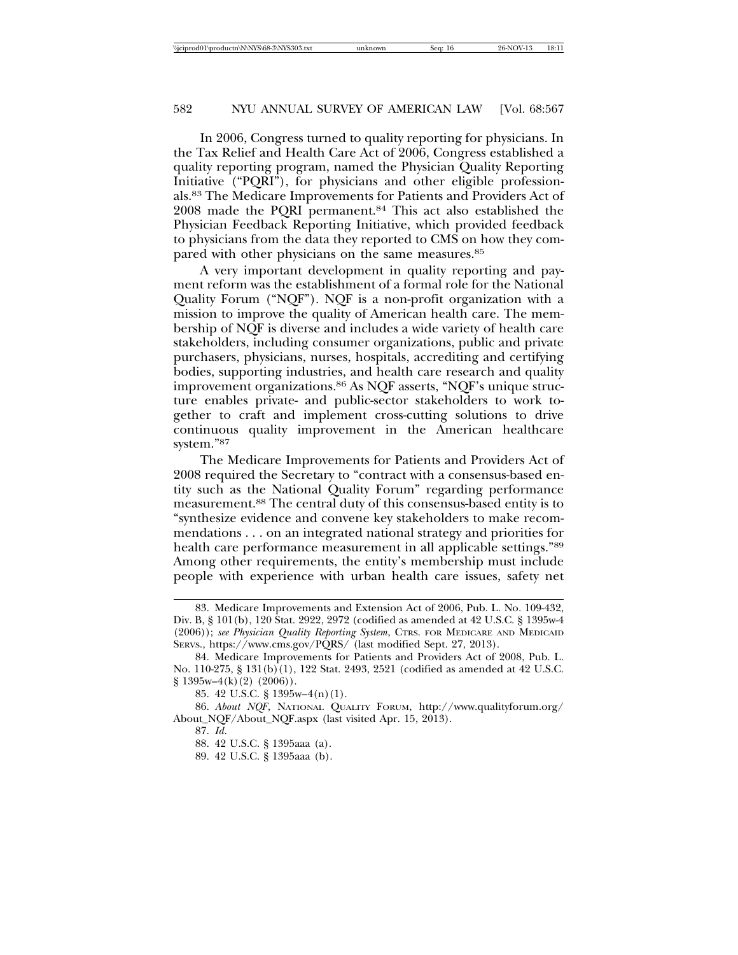In 2006, Congress turned to quality reporting for physicians. In the Tax Relief and Health Care Act of 2006, Congress established a quality reporting program, named the Physician Quality Reporting Initiative ("PQRI"), for physicians and other eligible professionals.83 The Medicare Improvements for Patients and Providers Act of 2008 made the PQRI permanent.84 This act also established the Physician Feedback Reporting Initiative, which provided feedback to physicians from the data they reported to CMS on how they compared with other physicians on the same measures.85

A very important development in quality reporting and payment reform was the establishment of a formal role for the National Quality Forum ("NQF"). NQF is a non-profit organization with a mission to improve the quality of American health care. The membership of NQF is diverse and includes a wide variety of health care stakeholders, including consumer organizations, public and private purchasers, physicians, nurses, hospitals, accrediting and certifying bodies, supporting industries, and health care research and quality improvement organizations.86 As NQF asserts, "NQF's unique structure enables private- and public-sector stakeholders to work together to craft and implement cross-cutting solutions to drive continuous quality improvement in the American healthcare system."87

The Medicare Improvements for Patients and Providers Act of 2008 required the Secretary to "contract with a consensus-based entity such as the National Quality Forum" regarding performance measurement.88 The central duty of this consensus-based entity is to "synthesize evidence and convene key stakeholders to make recommendations . . . on an integrated national strategy and priorities for health care performance measurement in all applicable settings."<sup>89</sup> Among other requirements, the entity's membership must include people with experience with urban health care issues, safety net

<sup>83.</sup> Medicare Improvements and Extension Act of 2006, Pub. L. No. 109-432, Div. B, § 101(b), 120 Stat. 2922, 2972 (codified as amended at 42 U.S.C. § 1395w-4 (2006)); *see Physician Quality Reporting System*, CTRS. FOR MEDICARE AND MEDICAID SERVS., https://www.cms.gov/PQRS/ (last modified Sept. 27, 2013).

<sup>84.</sup> Medicare Improvements for Patients and Providers Act of 2008, Pub. L. No. 110-275, § 131(b)(1), 122 Stat. 2493, 2521 (codified as amended at 42 U.S.C. § 1395w–4(k)(2) (2006)).

<sup>85. 42</sup> U.S.C. § 1395w–4(n)(1).

<sup>86.</sup> *About NQF*, NATIONAL QUALITY FORUM, http://www.qualityforum.org/ About\_NQF/About\_NQF.aspx (last visited Apr. 15, 2013).

<sup>87.</sup> *Id*.

<sup>88. 42</sup> U.S.C. § 1395aaa (a).

<sup>89. 42</sup> U.S.C. § 1395aaa (b).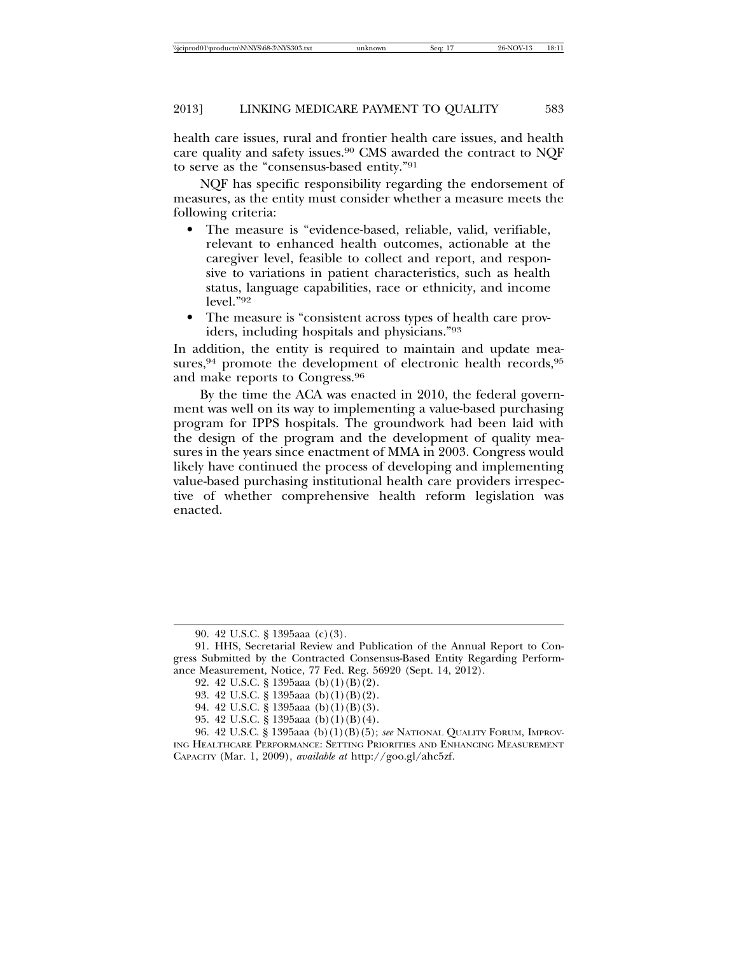health care issues, rural and frontier health care issues, and health care quality and safety issues.90 CMS awarded the contract to NQF to serve as the "consensus-based entity."91

NQF has specific responsibility regarding the endorsement of measures, as the entity must consider whether a measure meets the following criteria:

- The measure is "evidence-based, reliable, valid, verifiable, relevant to enhanced health outcomes, actionable at the caregiver level, feasible to collect and report, and responsive to variations in patient characteristics, such as health status, language capabilities, race or ethnicity, and income level."92
- The measure is "consistent across types of health care providers, including hospitals and physicians."93

In addition, the entity is required to maintain and update measures,<sup>94</sup> promote the development of electronic health records,<sup>95</sup> and make reports to Congress.96

By the time the ACA was enacted in 2010, the federal government was well on its way to implementing a value-based purchasing program for IPPS hospitals. The groundwork had been laid with the design of the program and the development of quality measures in the years since enactment of MMA in 2003. Congress would likely have continued the process of developing and implementing value-based purchasing institutional health care providers irrespective of whether comprehensive health reform legislation was enacted.

<sup>90. 42</sup> U.S.C. § 1395aaa (c)(3).

<sup>91.</sup> HHS, Secretarial Review and Publication of the Annual Report to Congress Submitted by the Contracted Consensus-Based Entity Regarding Performance Measurement, Notice, 77 Fed. Reg. 56920 (Sept. 14, 2012).

<sup>92. 42</sup> U.S.C. § 1395aaa (b)(1)(B)(2).

<sup>93. 42</sup> U.S.C. § 1395aaa (b)(1)(B)(2).

<sup>94. 42</sup> U.S.C. § 1395aaa (b)(1)(B)(3).

<sup>95. 42</sup> U.S.C. § 1395aaa (b)(1)(B)(4).

<sup>96. 42</sup> U.S.C. § 1395aaa (b)(1)(B)(5); *see* NATIONAL QUALITY FORUM, IMPROV-ING HEALTHCARE PERFORMANCE: SETTING PRIORITIES AND ENHANCING MEASUREMENT

CAPACITY (Mar. 1, 2009), *available at* http://goo.gl/ahc5zf.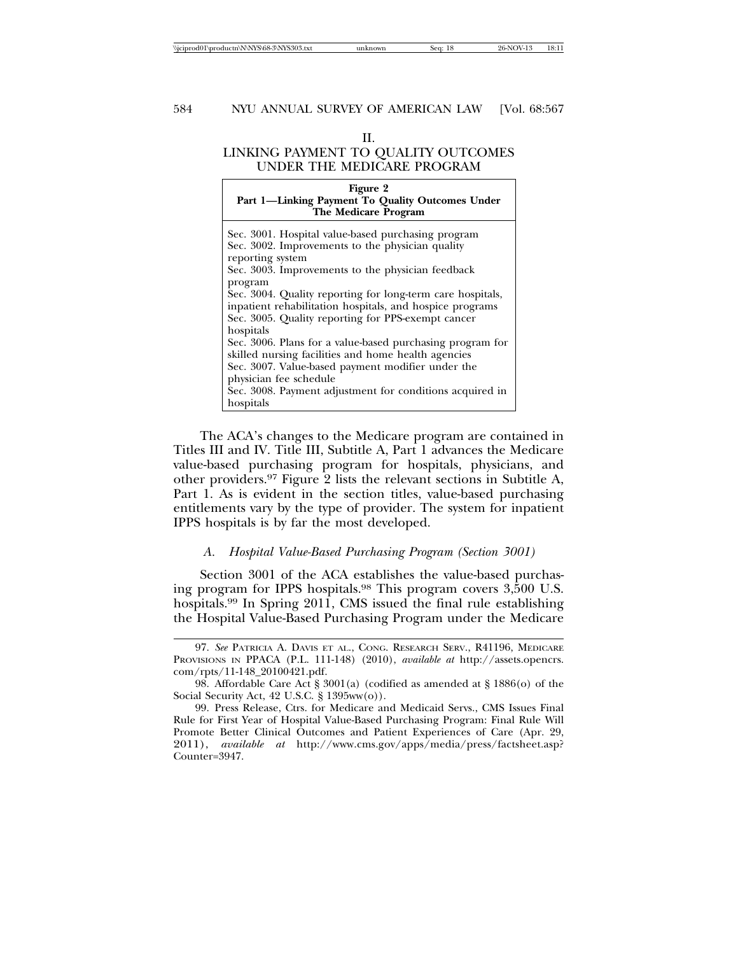#### II.

# LINKING PAYMENT TO QUALITY OUTCOMES UNDER THE MEDICARE PROGRAM

#### **Figure 2 Part 1—Linking Payment To Quality Outcomes Under The Medicare Program**

| Sec. 3001. Hospital value-based purchasing program<br>Sec. 3002. Improvements to the physician quality |
|--------------------------------------------------------------------------------------------------------|
| reporting system                                                                                       |
|                                                                                                        |
| Sec. 3003. Improvements to the physician feedback                                                      |
| program                                                                                                |
| Sec. 3004. Quality reporting for long-term care hospitals,                                             |
| inpatient rehabilitation hospitals, and hospice programs                                               |
| Sec. 3005. Quality reporting for PPS-exempt cancer                                                     |
| hospitals                                                                                              |
| Sec. 3006. Plans for a value-based purchasing program for                                              |
| skilled nursing facilities and home health agencies                                                    |
| Sec. 3007. Value-based payment modifier under the                                                      |
| physician fee schedule                                                                                 |
| Sec. 3008. Payment adjustment for conditions acquired in                                               |
| hospitals                                                                                              |

The ACA's changes to the Medicare program are contained in Titles III and IV. Title III, Subtitle A, Part 1 advances the Medicare value-based purchasing program for hospitals, physicians, and other providers.97 Figure 2 lists the relevant sections in Subtitle A, Part 1. As is evident in the section titles, value-based purchasing entitlements vary by the type of provider. The system for inpatient IPPS hospitals is by far the most developed.

#### *A. Hospital Value-Based Purchasing Program (Section 3001)*

Section 3001 of the ACA establishes the value-based purchasing program for IPPS hospitals.98 This program covers 3,500 U.S. hospitals.99 In Spring 2011, CMS issued the final rule establishing the Hospital Value-Based Purchasing Program under the Medicare

<sup>97.</sup> *See* PATRICIA A. DAVIS ET AL., CONG. RESEARCH SERV., R41196, MEDICARE PROVISIONS IN PPACA (P.L. 111-148) (2010), *available at* http://assets.opencrs. com/rpts/11-148\_20100421.pdf.

<sup>98.</sup> Affordable Care Act § 3001(a) (codified as amended at § 1886(o) of the Social Security Act, 42 U.S.C. § 1395ww(o)).

<sup>99.</sup> Press Release, Ctrs. for Medicare and Medicaid Servs., CMS Issues Final Rule for First Year of Hospital Value-Based Purchasing Program: Final Rule Will Promote Better Clinical Outcomes and Patient Experiences of Care (Apr. 29, 2011), *available at* http://www.cms.gov/apps/media/press/factsheet.asp? Counter=3947.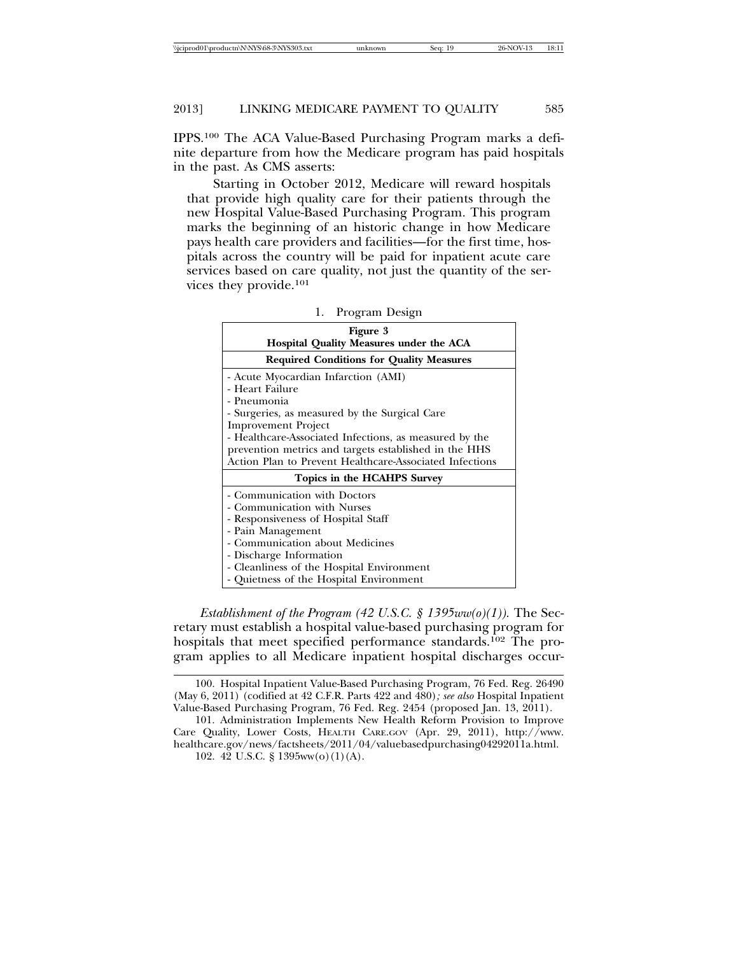IPPS.100 The ACA Value-Based Purchasing Program marks a definite departure from how the Medicare program has paid hospitals in the past. As CMS asserts:

Starting in October 2012, Medicare will reward hospitals that provide high quality care for their patients through the new Hospital Value-Based Purchasing Program. This program marks the beginning of an historic change in how Medicare pays health care providers and facilities—for the first time, hospitals across the country will be paid for inpatient acute care services based on care quality, not just the quantity of the services they provide.101

| Figure 3<br>Hospital Quality Measures under the ACA                                                                                                                        |  |  |
|----------------------------------------------------------------------------------------------------------------------------------------------------------------------------|--|--|
| <b>Required Conditions for Quality Measures</b>                                                                                                                            |  |  |
| - Acute Myocardian Infarction (AMI)<br>- Heart Failure                                                                                                                     |  |  |
| - Pneumonia<br>- Surgeries, as measured by the Surgical Care<br><b>Improvement Project</b>                                                                                 |  |  |
| - Healthcare-Associated Infections, as measured by the<br>prevention metrics and targets established in the HHS<br>Action Plan to Prevent Healthcare-Associated Infections |  |  |
| Topics in the HCAHPS Survey                                                                                                                                                |  |  |
| - Communication with Doctors<br>- Communication with Nurses<br>- Responsiveness of Hospital Staff<br>- Pain Management<br>- Communication about Medicines                  |  |  |
| - Discharge Information<br>- Cleanliness of the Hospital Environment<br>- Quietness of the Hospital Environment                                                            |  |  |

| Program Design |  |
|----------------|--|
|                |  |

*Establishment of the Program (42 U.S.C. § 1395ww(o)(1)).* The Secretary must establish a hospital value-based purchasing program for hospitals that meet specified performance standards.<sup>102</sup> The program applies to all Medicare inpatient hospital discharges occur-

<sup>100.</sup> Hospital Inpatient Value-Based Purchasing Program, 76 Fed. Reg. 26490 (May 6, 2011) (codified at 42 C.F.R. Parts 422 and 480)*; see also* Hospital Inpatient Value-Based Purchasing Program, 76 Fed. Reg. 2454 (proposed Jan. 13, 2011).

<sup>101.</sup> Administration Implements New Health Reform Provision to Improve Care Quality, Lower Costs, HEALTH CARE.GOV (Apr. 29, 2011), http://www. healthcare.gov/news/factsheets/2011/04/valuebasedpurchasing04292011a.html.

<sup>102. 42</sup> U.S.C. § 1395ww(o)(1)(A).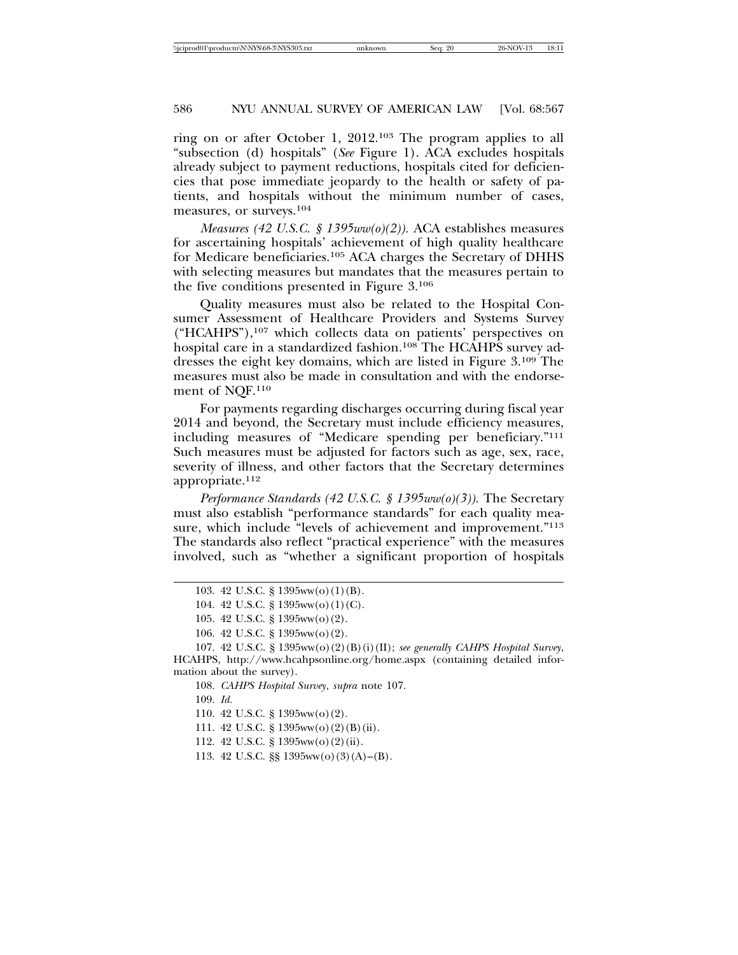ring on or after October 1, 2012.103 The program applies to all "subsection (d) hospitals" (*See* Figure 1). ACA excludes hospitals already subject to payment reductions, hospitals cited for deficiencies that pose immediate jeopardy to the health or safety of patients, and hospitals without the minimum number of cases, measures, or surveys.104

*Measures (42 U.S.C. § 1395ww(o)(2)).* ACA establishes measures for ascertaining hospitals' achievement of high quality healthcare for Medicare beneficiaries.105 ACA charges the Secretary of DHHS with selecting measures but mandates that the measures pertain to the five conditions presented in Figure 3.106

Quality measures must also be related to the Hospital Consumer Assessment of Healthcare Providers and Systems Survey  $("HCAHPS"),<sup>107</sup>$  which collects data on patients' perspectives on hospital care in a standardized fashion.<sup>108</sup> The HCAHPS survey addresses the eight key domains, which are listed in Figure 3.109 The measures must also be made in consultation and with the endorsement of NQF.110

For payments regarding discharges occurring during fiscal year 2014 and beyond, the Secretary must include efficiency measures, including measures of "Medicare spending per beneficiary."111 Such measures must be adjusted for factors such as age, sex, race, severity of illness, and other factors that the Secretary determines appropriate.112

*Performance Standards (42 U.S.C. § 1395ww(o)(3)).* The Secretary must also establish "performance standards" for each quality measure, which include "levels of achievement and improvement."113 The standards also reflect "practical experience" with the measures involved, such as "whether a significant proportion of hospitals

109. *Id.*

<sup>103. 42</sup> U.S.C. § 1395ww(o)(1)(B).

<sup>104. 42</sup> U.S.C. § 1395ww(o)(1)(C).

<sup>105. 42</sup> U.S.C. § 1395ww(o)(2).

<sup>106. 42</sup> U.S.C. § 1395ww(o)(2).

<sup>107. 42</sup> U.S.C. § 1395ww(o)(2)(B)(i)(II); *see generally CAHPS Hospital Survey*, HCAHPS, http://www.hcahpsonline.org/home.aspx (containing detailed information about the survey).

<sup>108.</sup> *CAHPS Hospital Survey*, *supra* note 107.

<sup>110. 42</sup> U.S.C. § 1395ww(o)(2).

<sup>111. 42</sup> U.S.C. § 1395ww(o)(2)(B)(ii).

<sup>112. 42</sup> U.S.C. § 1395ww(o)(2)(ii).

<sup>113. 42</sup> U.S.C. §§ 1395ww(o)(3)(A)–(B).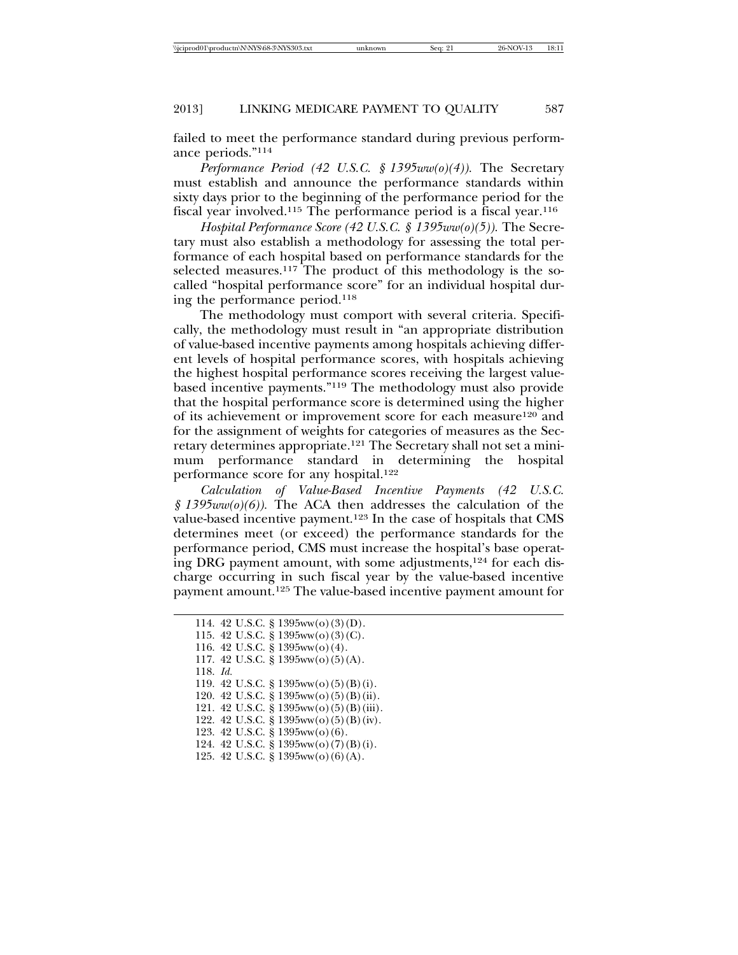failed to meet the performance standard during previous performance periods."114

*Performance Period (42 U.S.C. § 1395ww(o)(4)).* The Secretary must establish and announce the performance standards within sixty days prior to the beginning of the performance period for the fiscal year involved.115 The performance period is a fiscal year.116

*Hospital Performance Score (42 U.S.C. § 1395ww(o)(5)).* The Secretary must also establish a methodology for assessing the total performance of each hospital based on performance standards for the selected measures.<sup>117</sup> The product of this methodology is the socalled "hospital performance score" for an individual hospital during the performance period.118

The methodology must comport with several criteria. Specifically, the methodology must result in "an appropriate distribution of value-based incentive payments among hospitals achieving different levels of hospital performance scores, with hospitals achieving the highest hospital performance scores receiving the largest valuebased incentive payments."119 The methodology must also provide that the hospital performance score is determined using the higher of its achievement or improvement score for each measure120 and for the assignment of weights for categories of measures as the Secretary determines appropriate.121 The Secretary shall not set a minimum performance standard in determining the hospital performance score for any hospital.122

*Calculation of Value-Based Incentive Payments (42 U.S.C. § 1395ww(o)(6)).* The ACA then addresses the calculation of the value-based incentive payment.123 In the case of hospitals that CMS determines meet (or exceed) the performance standards for the performance period, CMS must increase the hospital's base operating DRG payment amount, with some adjustments,<sup>124</sup> for each discharge occurring in such fiscal year by the value-based incentive payment amount.125 The value-based incentive payment amount for

118. *Id.*

<sup>114. 42</sup> U.S.C. § 1395ww(o)(3)(D).

<sup>115. 42</sup> U.S.C. § 1395ww(o)(3)(C).

<sup>116. 42</sup> U.S.C. § 1395ww(o)(4).

<sup>117. 42</sup> U.S.C. § 1395ww(o)(5)(A).

<sup>119. 42</sup> U.S.C. § 1395ww(o)(5)(B)(i).

<sup>120. 42</sup> U.S.C. § 1395ww(o)(5)(B)(ii).

<sup>121. 42</sup> U.S.C. § 1395ww(o)(5)(B)(iii).

<sup>122. 42</sup> U.S.C. § 1395ww(o)(5)(B)(iv).

<sup>123. 42</sup> U.S.C. § 1395ww(o)(6).

<sup>124. 42</sup> U.S.C. § 1395ww(o)(7)(B)(i).

<sup>125. 42</sup> U.S.C. § 1395ww(o)(6)(A).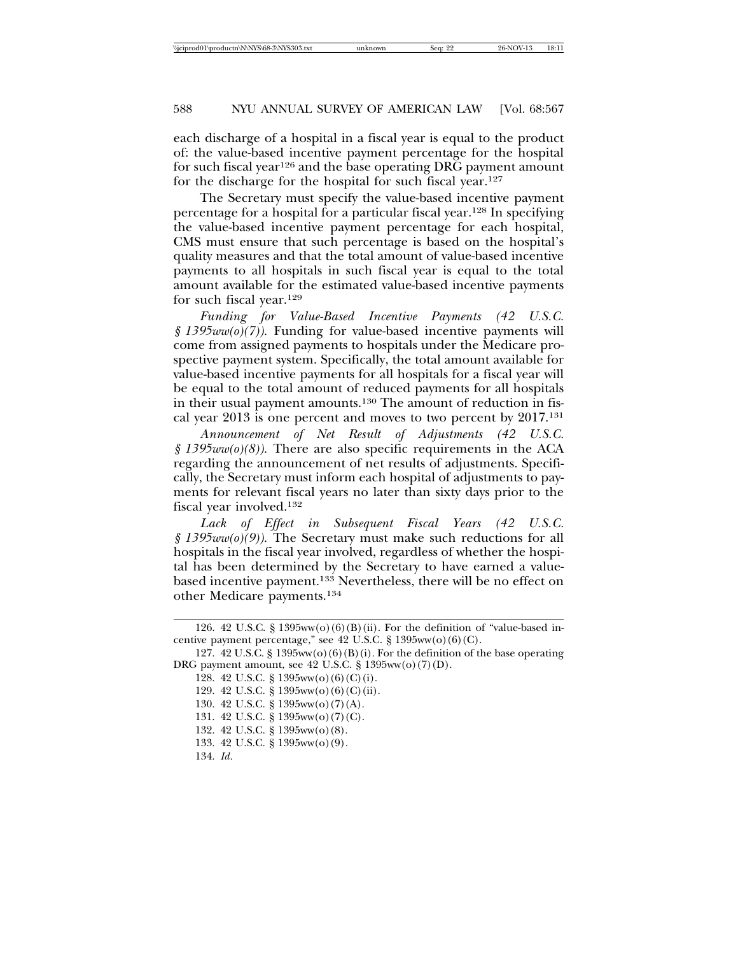each discharge of a hospital in a fiscal year is equal to the product of: the value-based incentive payment percentage for the hospital for such fiscal year<sup>126</sup> and the base operating DRG payment amount for the discharge for the hospital for such fiscal year.127

The Secretary must specify the value-based incentive payment percentage for a hospital for a particular fiscal year.128 In specifying the value-based incentive payment percentage for each hospital, CMS must ensure that such percentage is based on the hospital's quality measures and that the total amount of value-based incentive payments to all hospitals in such fiscal year is equal to the total amount available for the estimated value-based incentive payments for such fiscal year.129

*Funding for Value-Based Incentive Payments (42 U.S.C. § 1395ww(o)(7)).* Funding for value-based incentive payments will come from assigned payments to hospitals under the Medicare prospective payment system. Specifically, the total amount available for value-based incentive payments for all hospitals for a fiscal year will be equal to the total amount of reduced payments for all hospitals in their usual payment amounts.130 The amount of reduction in fiscal year 2013 is one percent and moves to two percent by 2017.131

*Announcement of Net Result of Adjustments (42 U.S.C. § 1395ww(o)(8)).* There are also specific requirements in the ACA regarding the announcement of net results of adjustments. Specifically, the Secretary must inform each hospital of adjustments to payments for relevant fiscal years no later than sixty days prior to the fiscal year involved.132

*Lack of Effect in Subsequent Fiscal Years (42 U.S.C. § 1395ww(o)(9)).* The Secretary must make such reductions for all hospitals in the fiscal year involved, regardless of whether the hospital has been determined by the Secretary to have earned a valuebased incentive payment.133 Nevertheless, there will be no effect on other Medicare payments.134

<sup>126. 42</sup> U.S.C. § 1395ww(o)(6)(B)(ii). For the definition of "value-based incentive payment percentage," see  $42$  U.S.C.  $\S$  1395ww(o)(6)(C).

<sup>127. 42</sup> U.S.C. § 1395ww(o)(6)(B)(i). For the definition of the base operating DRG payment amount, see 42 U.S.C. § 1395ww(o)(7)(D).

<sup>128. 42</sup> U.S.C. § 1395ww(o)(6)(C)(i).

<sup>129. 42</sup> U.S.C. § 1395ww(o)(6)(C)(ii).

<sup>130. 42</sup> U.S.C. § 1395ww(o)(7)(A).

<sup>131. 42</sup> U.S.C. § 1395ww(o)(7)(C).

<sup>132. 42</sup> U.S.C. § 1395ww(o)(8).

<sup>133. 42</sup> U.S.C. § 1395ww(o)(9)*.* 

<sup>134.</sup> *Id*.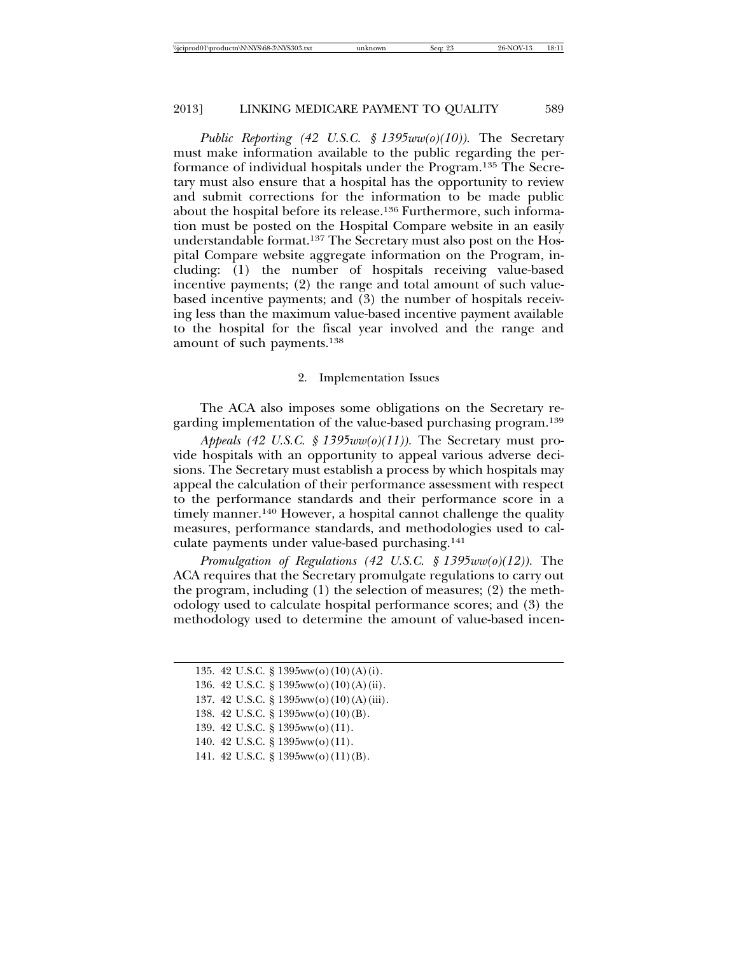*Public Reporting (42 U.S.C. § 1395ww(o)(10)).* The Secretary must make information available to the public regarding the performance of individual hospitals under the Program.135 The Secretary must also ensure that a hospital has the opportunity to review and submit corrections for the information to be made public about the hospital before its release.<sup>136</sup> Furthermore, such information must be posted on the Hospital Compare website in an easily understandable format.137 The Secretary must also post on the Hospital Compare website aggregate information on the Program, including: (1) the number of hospitals receiving value-based incentive payments; (2) the range and total amount of such valuebased incentive payments; and (3) the number of hospitals receiving less than the maximum value-based incentive payment available to the hospital for the fiscal year involved and the range and amount of such payments.138

#### 2. Implementation Issues

The ACA also imposes some obligations on the Secretary regarding implementation of the value-based purchasing program.139

*Appeals (42 U.S.C. § 1395ww(o)(11)).* The Secretary must provide hospitals with an opportunity to appeal various adverse decisions. The Secretary must establish a process by which hospitals may appeal the calculation of their performance assessment with respect to the performance standards and their performance score in a timely manner.<sup>140</sup> However, a hospital cannot challenge the quality measures, performance standards, and methodologies used to calculate payments under value-based purchasing.141

*Promulgation of Regulations (42 U.S.C. § 1395ww(o)(12)).* The ACA requires that the Secretary promulgate regulations to carry out the program, including (1) the selection of measures; (2) the methodology used to calculate hospital performance scores; and (3) the methodology used to determine the amount of value-based incen-

- 137. 42 U.S.C. § 1395ww(o)(10)(A)(iii).
- 138. 42 U.S.C. § 1395ww(o)(10)(B).
- 139. 42 U.S.C. § 1395ww(o)(11).
- 140. 42 U.S.C. § 1395ww(o)(11).
- 141. 42 U.S.C. § 1395ww(o)(11)(B).

<sup>135. 42</sup> U.S.C. § 1395ww(o)(10)(A)(i).

<sup>136. 42</sup> U.S.C. § 1395ww(o)(10)(A)(ii).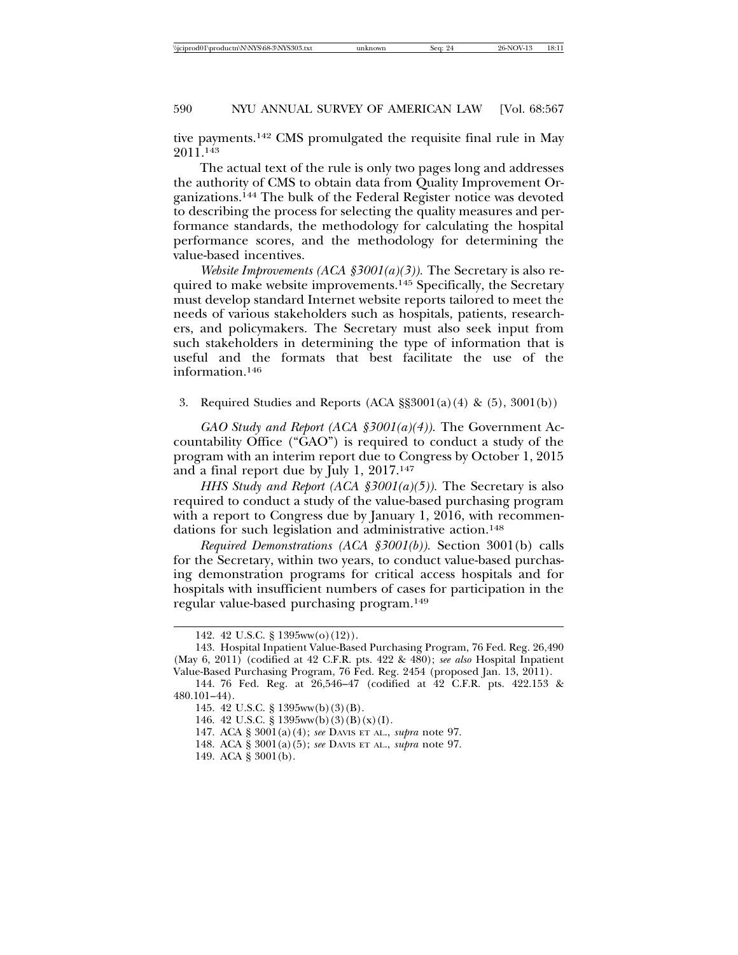tive payments.142 CMS promulgated the requisite final rule in May 2011.143

The actual text of the rule is only two pages long and addresses the authority of CMS to obtain data from Quality Improvement Organizations.144 The bulk of the Federal Register notice was devoted to describing the process for selecting the quality measures and performance standards, the methodology for calculating the hospital performance scores, and the methodology for determining the value-based incentives.

*Website Improvements (ACA §3001(a)(3)).* The Secretary is also required to make website improvements.145 Specifically, the Secretary must develop standard Internet website reports tailored to meet the needs of various stakeholders such as hospitals, patients, researchers, and policymakers. The Secretary must also seek input from such stakeholders in determining the type of information that is useful and the formats that best facilitate the use of the information.146

3. Required Studies and Reports (ACA §§3001(a)(4) & (5), 3001(b))

*GAO Study and Report (ACA §3001(a)(4)).* The Government Accountability Office ("GAO") is required to conduct a study of the program with an interim report due to Congress by October 1, 2015 and a final report due by July 1, 2017.147

*HHS Study and Report (ACA §3001(a)(5)).* The Secretary is also required to conduct a study of the value-based purchasing program with a report to Congress due by January 1, 2016, with recommendations for such legislation and administrative action.<sup>148</sup>

*Required Demonstrations (ACA §3001(b)).* Section 3001(b) calls for the Secretary, within two years, to conduct value-based purchasing demonstration programs for critical access hospitals and for hospitals with insufficient numbers of cases for participation in the regular value-based purchasing program.149

<sup>142. 42</sup> U.S.C. § 1395ww(o)(12)).

<sup>143.</sup> Hospital Inpatient Value-Based Purchasing Program, 76 Fed. Reg. 26,490 (May 6, 2011) (codified at 42 C.F.R. pts. 422 & 480); *see also* Hospital Inpatient Value-Based Purchasing Program, 76 Fed. Reg. 2454 (proposed Jan. 13, 2011).

<sup>144. 76</sup> Fed. Reg. at 26,546–47 (codified at 42 C.F.R. pts. 422.153 & 480.101–44).

<sup>145. 42</sup> U.S.C. § 1395ww(b)(3)(B).

<sup>146. 42</sup> U.S.C. § 1395ww(b)(3)(B)(x)(I).

<sup>147.</sup> ACA § 3001(a)(4); *see* DAVIS ET AL., *supra* note 97.

<sup>148.</sup> ACA § 3001(a)(5); *see* DAVIS ET AL., *supra* note 97.

<sup>149.</sup> ACA § 3001(b).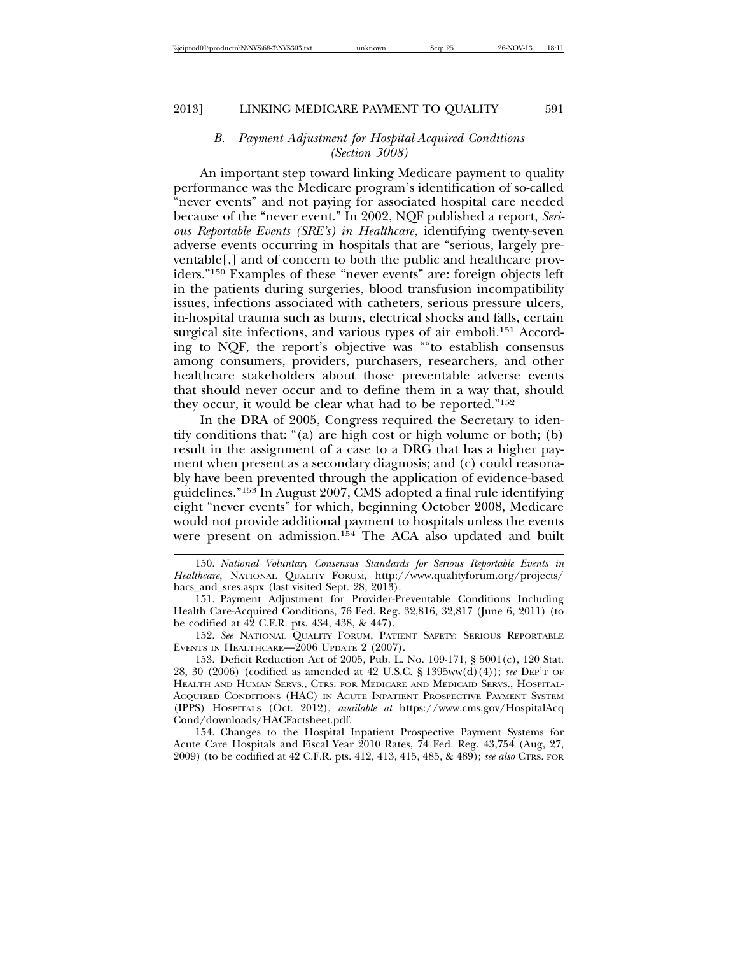# *B. Payment Adjustment for Hospital-Acquired Conditions (Section 3008)*

An important step toward linking Medicare payment to quality performance was the Medicare program's identification of so-called "never events" and not paying for associated hospital care needed because of the "never event." In 2002, NQF published a report, *Serious Reportable Events (SRE's) in Healthcare*, identifying twenty-seven adverse events occurring in hospitals that are "serious, largely preventable[,] and of concern to both the public and healthcare providers."150 Examples of these "never events" are: foreign objects left in the patients during surgeries, blood transfusion incompatibility issues, infections associated with catheters, serious pressure ulcers, in-hospital trauma such as burns, electrical shocks and falls, certain surgical site infections, and various types of air emboli.<sup>151</sup> According to NQF, the report's objective was ""to establish consensus among consumers, providers, purchasers, researchers, and other healthcare stakeholders about those preventable adverse events that should never occur and to define them in a way that, should they occur, it would be clear what had to be reported."152

In the DRA of 2005, Congress required the Secretary to identify conditions that: "(a) are high cost or high volume or both; (b) result in the assignment of a case to a DRG that has a higher payment when present as a secondary diagnosis; and (c) could reasonably have been prevented through the application of evidence-based guidelines."153 In August 2007, CMS adopted a final rule identifying eight "never events" for which, beginning October 2008, Medicare would not provide additional payment to hospitals unless the events were present on admission.<sup>154</sup> The ACA also updated and built

152. *See* NATIONAL QUALITY FORUM, PATIENT SAFETY: SERIOUS REPORTABLE EVENTS IN HEALTHCARE—2006 UPDATE 2 (2007).

153. Deficit Reduction Act of 2005, Pub. L. No. 109-171, § 5001(c), 120 Stat. 28, 30 (2006) (codified as amended at 42 U.S.C. § 1395ww(d)(4)); *see* DEP'T OF HEALTH AND HUMAN SERVS., CTRS. FOR MEDICARE AND MEDICAID SERVS., HOSPITAL-ACQUIRED CONDITIONS (HAC) IN ACUTE INPATIENT PROSPECTIVE PAYMENT SYSTEM (IPPS) HOSPITALS (Oct. 2012), *available at* https://www.cms.gov/HospitalAcq Cond/downloads/HACFactsheet.pdf.

154. Changes to the Hospital Inpatient Prospective Payment Systems for Acute Care Hospitals and Fiscal Year 2010 Rates, 74 Fed. Reg. 43,754 (Aug, 27, 2009) (to be codified at 42 C.F.R. pts. 412, 413, 415, 485, & 489); *see also* CTRS. FOR

<sup>150.</sup> *National Voluntary Consensus Standards for Serious Reportable Events in Healthcare*, NATIONAL QUALITY FORUM, http://www.qualityforum.org/projects/ hacs\_and\_sres.aspx (last visited Sept. 28, 2013).

<sup>151.</sup> Payment Adjustment for Provider-Preventable Conditions Including Health Care-Acquired Conditions, 76 Fed. Reg. 32,816, 32,817 (June 6, 2011) (to be codified at 42 C.F.R. pts. 434, 438, & 447).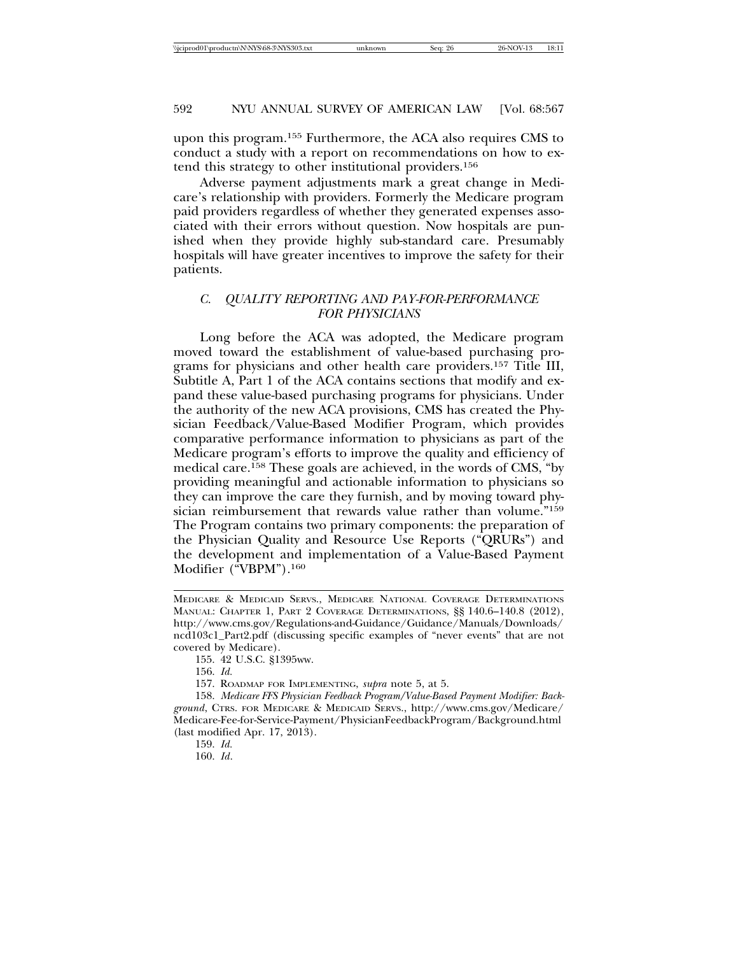upon this program.155 Furthermore, the ACA also requires CMS to conduct a study with a report on recommendations on how to extend this strategy to other institutional providers.156

Adverse payment adjustments mark a great change in Medicare's relationship with providers. Formerly the Medicare program paid providers regardless of whether they generated expenses associated with their errors without question. Now hospitals are punished when they provide highly sub-standard care. Presumably hospitals will have greater incentives to improve the safety for their patients.

# *C. QUALITY REPORTING AND PAY-FOR-PERFORMANCE FOR PHYSICIANS*

Long before the ACA was adopted, the Medicare program moved toward the establishment of value-based purchasing programs for physicians and other health care providers.157 Title III, Subtitle A, Part 1 of the ACA contains sections that modify and expand these value-based purchasing programs for physicians. Under the authority of the new ACA provisions, CMS has created the Physician Feedback/Value-Based Modifier Program, which provides comparative performance information to physicians as part of the Medicare program's efforts to improve the quality and efficiency of medical care.158 These goals are achieved, in the words of CMS, "by providing meaningful and actionable information to physicians so they can improve the care they furnish, and by moving toward physician reimbursement that rewards value rather than volume."159 The Program contains two primary components: the preparation of the Physician Quality and Resource Use Reports ("QRURs") and the development and implementation of a Value-Based Payment Modifier ("VBPM").160

157. ROADMAP FOR IMPLEMENTING, *supra* note 5, at 5.

MEDICARE & MEDICAID SERVS., MEDICARE NATIONAL COVERAGE DETERMINATIONS MANUAL: CHAPTER 1, PART 2 COVERAGE DETERMINATIONS, §§ 140.6–140.8 (2012), http://www.cms.gov/Regulations-and-Guidance/Guidance/Manuals/Downloads/ ncd103c1\_Part2.pdf (discussing specific examples of "never events" that are not covered by Medicare).

<sup>155. 42</sup> U.S.C. §1395ww.

<sup>156.</sup> *Id.*

<sup>158.</sup> *Medicare FFS Physician Feedback Program/Value-Based Payment Modifier: Background*, CTRS. FOR MEDICARE & MEDICAID SERVS., http://www.cms.gov/Medicare/ Medicare-Fee-for-Service-Payment/PhysicianFeedbackProgram/Background.html (last modified Apr. 17, 2013).

<sup>159.</sup> *Id.*

<sup>160.</sup> *Id*.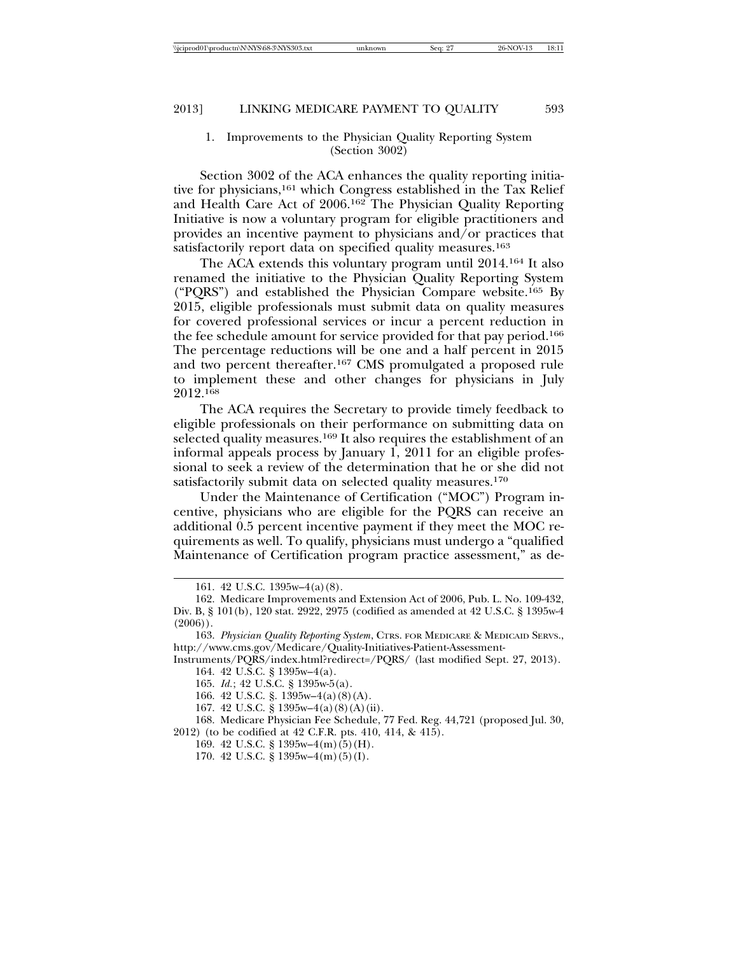### 1. Improvements to the Physician Quality Reporting System (Section 3002)

Section 3002 of the ACA enhances the quality reporting initiative for physicians,<sup>161</sup> which Congress established in the Tax Relief and Health Care Act of 2006.162 The Physician Quality Reporting Initiative is now a voluntary program for eligible practitioners and provides an incentive payment to physicians and/or practices that satisfactorily report data on specified quality measures.<sup>163</sup>

The ACA extends this voluntary program until 2014.164 It also renamed the initiative to the Physician Quality Reporting System ("PQRS") and established the Physician Compare website.165 By 2015, eligible professionals must submit data on quality measures for covered professional services or incur a percent reduction in the fee schedule amount for service provided for that pay period.166 The percentage reductions will be one and a half percent in 2015 and two percent thereafter.167 CMS promulgated a proposed rule to implement these and other changes for physicians in July 2012.168

The ACA requires the Secretary to provide timely feedback to eligible professionals on their performance on submitting data on selected quality measures.169 It also requires the establishment of an informal appeals process by January 1, 2011 for an eligible professional to seek a review of the determination that he or she did not satisfactorily submit data on selected quality measures.<sup>170</sup>

Under the Maintenance of Certification ("MOC") Program incentive, physicians who are eligible for the PQRS can receive an additional 0.5 percent incentive payment if they meet the MOC requirements as well. To qualify, physicians must undergo a "qualified Maintenance of Certification program practice assessment," as de-

Instruments/PQRS/index.html?redirect=/PQRS/ (last modified Sept. 27, 2013). 164. 42 U.S.C. § 1395w–4(a).

167. 42 U.S.C. § 1395w–4(a)(8)(A)(ii).

168. Medicare Physician Fee Schedule, 77 Fed. Reg. 44,721 (proposed Jul. 30, 2012) (to be codified at 42 C.F.R. pts. 410, 414, & 415).

170. 42 U.S.C. § 1395w–4(m)(5)(I).

<sup>161. 42</sup> U.S.C. 1395w–4(a)(8).

<sup>162.</sup> Medicare Improvements and Extension Act of 2006, Pub. L. No. 109-432, Div. B, § 101(b), 120 stat. 2922, 2975 (codified as amended at 42 U.S.C. § 1395w-4  $(2006)$ ).

<sup>163.</sup> *Physician Quality Reporting System*, CTRS. FOR MEDICARE & MEDICAID SERVS., http://www.cms.gov/Medicare/Quality-Initiatives-Patient-Assessment-

<sup>165.</sup> *Id.*; 42 U.S.C. § 1395w-5(a).

<sup>166. 42</sup> U.S.C. §. 1395w–4(a)(8)(A).

<sup>169. 42</sup> U.S.C. § 1395w–4(m)(5)(H).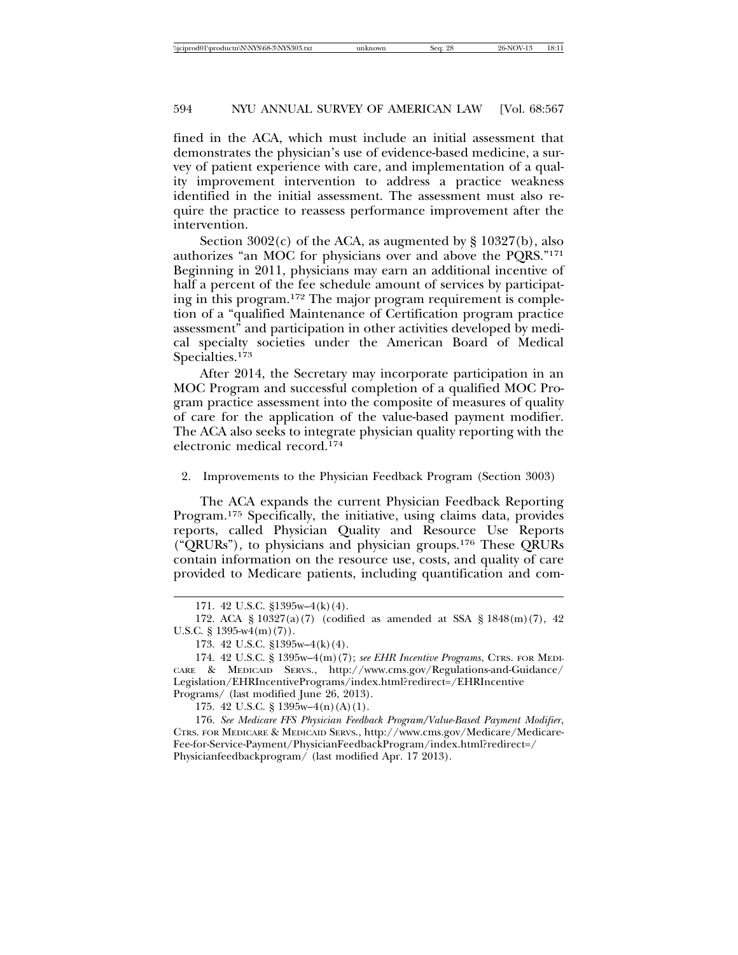fined in the ACA, which must include an initial assessment that demonstrates the physician's use of evidence-based medicine, a survey of patient experience with care, and implementation of a quality improvement intervention to address a practice weakness identified in the initial assessment. The assessment must also require the practice to reassess performance improvement after the intervention.

Section  $3002(c)$  of the ACA, as augmented by § 10327(b), also authorizes "an MOC for physicians over and above the PQRS."171 Beginning in 2011, physicians may earn an additional incentive of half a percent of the fee schedule amount of services by participating in this program.172 The major program requirement is completion of a "qualified Maintenance of Certification program practice assessment" and participation in other activities developed by medical specialty societies under the American Board of Medical Specialties.173

After 2014, the Secretary may incorporate participation in an MOC Program and successful completion of a qualified MOC Program practice assessment into the composite of measures of quality of care for the application of the value-based payment modifier. The ACA also seeks to integrate physician quality reporting with the electronic medical record.174

2. Improvements to the Physician Feedback Program (Section 3003)

The ACA expands the current Physician Feedback Reporting Program.175 Specifically, the initiative, using claims data, provides reports, called Physician Quality and Resource Use Reports ("QRURs"), to physicians and physician groups.176 These QRURs contain information on the resource use, costs, and quality of care provided to Medicare patients, including quantification and com-

175. 42 U.S.C. § 1395w–4(n)(A)(1).

176. *See Medicare FFS Physician Feedback Program/Value-Based Payment Modifier*, CTRS. FOR MEDICARE & MEDICAID SERVS., http://www.cms.gov/Medicare/Medicare-Fee-for-Service-Payment/PhysicianFeedbackProgram/index.html?redirect=/ Physicianfeedbackprogram/ (last modified Apr. 17 2013).

<sup>171. 42</sup> U.S.C. §1395w–4(k)(4).

<sup>172.</sup> ACA § 10327(a)(7) (codified as amended at SSA § 1848(m)(7), 42 U.S.C.  $\S$  1395-w4(m)(7)).

<sup>173. 42</sup> U.S.C. §1395w–4(k)(4).

<sup>174. 42</sup> U.S.C. § 1395w–4(m)(7); *see EHR Incentive Programs*, CTRS. FOR MEDI-CARE & MEDICAID SERVS., http://www.cms.gov/Regulations-and-Guidance/ Legislation/EHRIncentivePrograms/index.html?redirect=/EHRIncentive Programs/ (last modified June 26, 2013).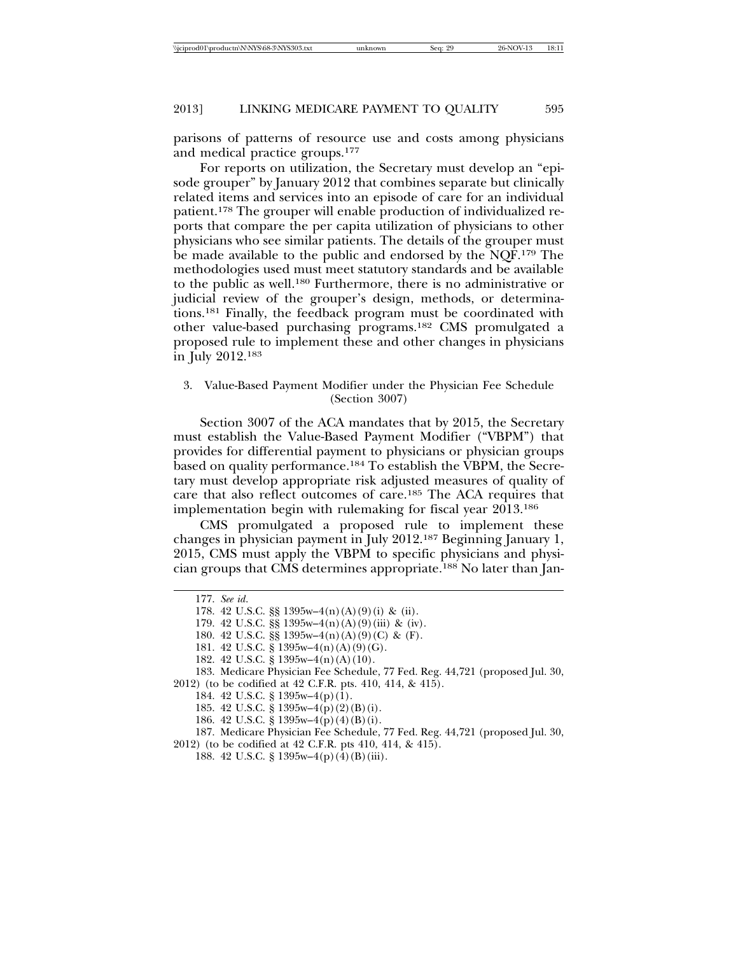parisons of patterns of resource use and costs among physicians and medical practice groups.177

For reports on utilization, the Secretary must develop an "episode grouper" by January 2012 that combines separate but clinically related items and services into an episode of care for an individual patient.178 The grouper will enable production of individualized reports that compare the per capita utilization of physicians to other physicians who see similar patients. The details of the grouper must be made available to the public and endorsed by the NQF.179 The methodologies used must meet statutory standards and be available to the public as well.180 Furthermore, there is no administrative or judicial review of the grouper's design, methods, or determinations.181 Finally, the feedback program must be coordinated with other value-based purchasing programs.182 CMS promulgated a proposed rule to implement these and other changes in physicians in July 2012.183

#### 3. Value-Based Payment Modifier under the Physician Fee Schedule (Section 3007)

Section 3007 of the ACA mandates that by 2015, the Secretary must establish the Value-Based Payment Modifier ("VBPM") that provides for differential payment to physicians or physician groups based on quality performance.184 To establish the VBPM, the Secretary must develop appropriate risk adjusted measures of quality of care that also reflect outcomes of care.185 The ACA requires that implementation begin with rulemaking for fiscal year 2013.186

CMS promulgated a proposed rule to implement these changes in physician payment in July 2012.187 Beginning January 1, 2015, CMS must apply the VBPM to specific physicians and physician groups that CMS determines appropriate.188 No later than Jan-

<sup>177.</sup> *See id*.

<sup>178. 42</sup> U.S.C. §§ 1395w–4(n)(A)(9)(i) & (ii).

<sup>179. 42</sup> U.S.C. §§ 1395w–4(n)(A)(9)(iii) & (iv).

<sup>180. 42</sup> U.S.C. §§ 1395w–4(n)(A)(9)(C) & (F).

<sup>181. 42</sup> U.S.C. § 1395w–4(n)(A)(9)(G).

<sup>182. 42</sup> U.S.C. § 1395w–4(n)(A)(10).

<sup>183.</sup> Medicare Physician Fee Schedule, 77 Fed. Reg. 44,721 (proposed Jul. 30, 2012) (to be codified at 42 C.F.R. pts. 410, 414, & 415).

<sup>184. 42</sup> U.S.C. § 1395w–4(p)(1).

<sup>185. 42</sup> U.S.C. § 1395w–4(p)(2)(B)(i).

<sup>186. 42</sup> U.S.C. § 1395w–4(p)(4)(B)(i).

<sup>187.</sup> Medicare Physician Fee Schedule, 77 Fed. Reg. 44,721 (proposed Jul. 30,

<sup>2012) (</sup>to be codified at 42 C.F.R. pts 410, 414, & 415).

<sup>188. 42</sup> U.S.C. § 1395w–4(p)(4)(B)(iii).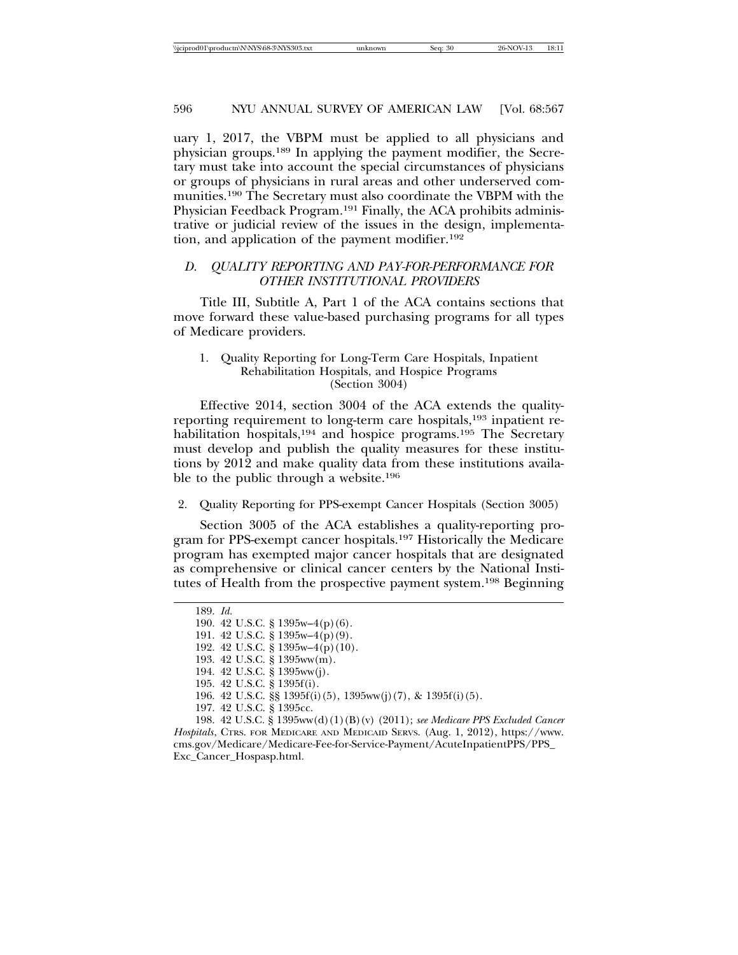uary 1, 2017, the VBPM must be applied to all physicians and physician groups.189 In applying the payment modifier, the Secretary must take into account the special circumstances of physicians or groups of physicians in rural areas and other underserved communities.190 The Secretary must also coordinate the VBPM with the Physician Feedback Program.191 Finally, the ACA prohibits administrative or judicial review of the issues in the design, implementation, and application of the payment modifier.<sup>192</sup>

# *D. QUALITY REPORTING AND PAY-FOR-PERFORMANCE FOR OTHER INSTITUTIONAL PROVIDERS*

Title III, Subtitle A, Part 1 of the ACA contains sections that move forward these value-based purchasing programs for all types of Medicare providers.

#### 1. Quality Reporting for Long-Term Care Hospitals, Inpatient Rehabilitation Hospitals, and Hospice Programs (Section 3004)

Effective 2014, section 3004 of the ACA extends the qualityreporting requirement to long-term care hospitals,193 inpatient rehabilitation hospitals,<sup>194</sup> and hospice programs.<sup>195</sup> The Secretary must develop and publish the quality measures for these institutions by 2012 and make quality data from these institutions available to the public through a website.196

#### 2. Quality Reporting for PPS-exempt Cancer Hospitals (Section 3005)

Section 3005 of the ACA establishes a quality-reporting program for PPS-exempt cancer hospitals.197 Historically the Medicare program has exempted major cancer hospitals that are designated as comprehensive or clinical cancer centers by the National Institutes of Health from the prospective payment system.198 Beginning

<sup>189.</sup> *Id.*

<sup>190. 42</sup> U.S.C. § 1395w–4(p)(6).

<sup>191. 42</sup> U.S.C. § 1395w–4(p)(9).

<sup>192. 42</sup> U.S.C. § 1395w–4(p)(10).

<sup>193. 42</sup> U.S.C. § 1395ww(m).

<sup>194. 42</sup> U.S.C. § 1395ww(j).

<sup>195. 42</sup> U.S.C. § 1395f(i).

<sup>196. 42</sup> U.S.C. §§ 1395f(i)(5), 1395ww(j)(7), & 1395f(i)(5).

<sup>197. 42</sup> U.S.C. § 1395cc.

<sup>198. 42</sup> U.S.C. § 1395ww(d)(1)(B)(v) (2011); *see Medicare PPS Excluded Cancer Hospitals*, CTRS. FOR MEDICARE AND MEDICAID SERVS. (Aug. 1, 2012), https://www. cms.gov/Medicare/Medicare-Fee-for-Service-Payment/AcuteInpatientPPS/PPS\_ Exc\_Cancer\_Hospasp.html.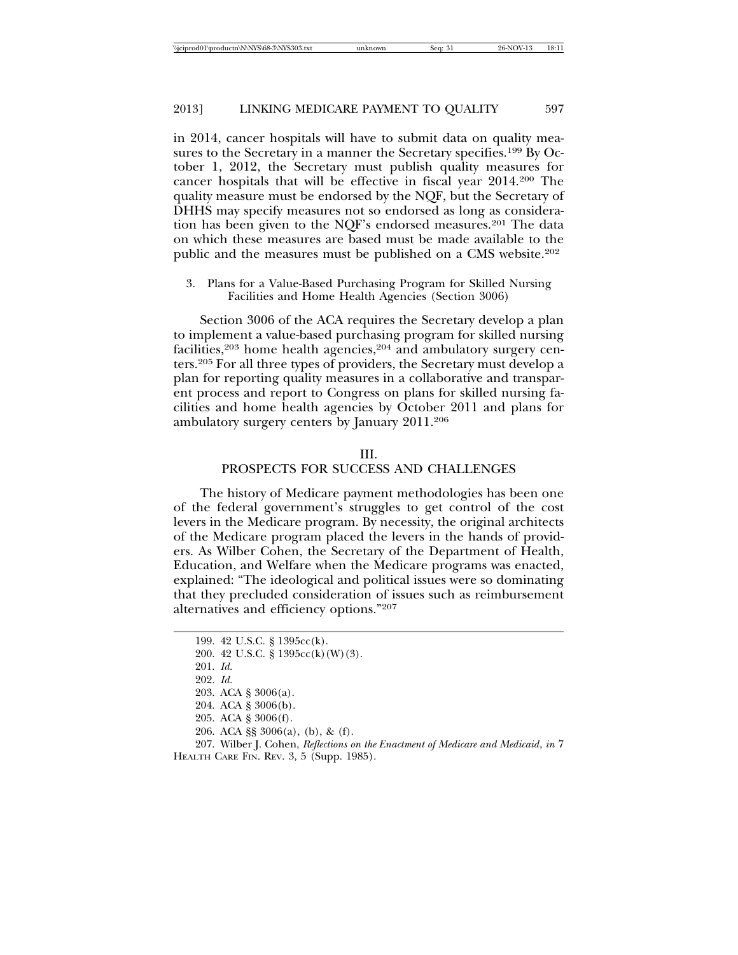in 2014, cancer hospitals will have to submit data on quality measures to the Secretary in a manner the Secretary specifies.199 By October 1, 2012, the Secretary must publish quality measures for cancer hospitals that will be effective in fiscal year 2014.200 The quality measure must be endorsed by the NQF, but the Secretary of DHHS may specify measures not so endorsed as long as consideration has been given to the NQF's endorsed measures.<sup>201</sup> The data on which these measures are based must be made available to the public and the measures must be published on a CMS website.202

3. Plans for a Value-Based Purchasing Program for Skilled Nursing Facilities and Home Health Agencies (Section 3006)

Section 3006 of the ACA requires the Secretary develop a plan to implement a value-based purchasing program for skilled nursing facilities,<sup>203</sup> home health agencies,<sup>204</sup> and ambulatory surgery centers.205 For all three types of providers, the Secretary must develop a plan for reporting quality measures in a collaborative and transparent process and report to Congress on plans for skilled nursing facilities and home health agencies by October 2011 and plans for ambulatory surgery centers by January 2011.206

#### III.

#### PROSPECTS FOR SUCCESS AND CHALLENGES

The history of Medicare payment methodologies has been one of the federal government's struggles to get control of the cost levers in the Medicare program. By necessity, the original architects of the Medicare program placed the levers in the hands of providers. As Wilber Cohen, the Secretary of the Department of Health, Education, and Welfare when the Medicare programs was enacted, explained: "The ideological and political issues were so dominating that they precluded consideration of issues such as reimbursement alternatives and efficiency options."207

- 205. ACA § 3006(f).
- 206. ACA §§ 3006(a), (b), & (f).

<sup>199. 42</sup> U.S.C. § 1395cc(k).

<sup>200. 42</sup> U.S.C. § 1395cc(k)(W)(3).

<sup>201.</sup> *Id.*

<sup>202.</sup> *Id.*

<sup>203.</sup> ACA § 3006(a).

<sup>204.</sup> ACA § 3006(b).

<sup>207.</sup> Wilber J. Cohen, *Reflections on the Enactment of Medicare and Medicaid*, *in* 7 HEALTH CARE FIN. REV. 3, 5 (Supp. 1985).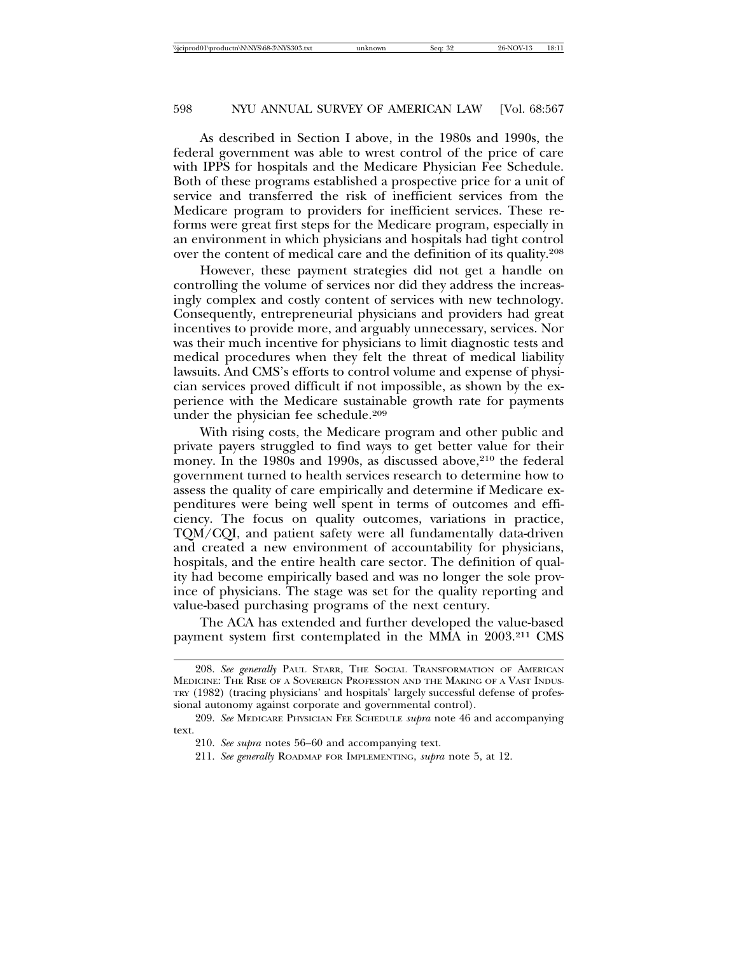As described in Section I above, in the 1980s and 1990s, the federal government was able to wrest control of the price of care with IPPS for hospitals and the Medicare Physician Fee Schedule. Both of these programs established a prospective price for a unit of service and transferred the risk of inefficient services from the Medicare program to providers for inefficient services. These reforms were great first steps for the Medicare program, especially in an environment in which physicians and hospitals had tight control over the content of medical care and the definition of its quality.208

However, these payment strategies did not get a handle on controlling the volume of services nor did they address the increasingly complex and costly content of services with new technology. Consequently, entrepreneurial physicians and providers had great incentives to provide more, and arguably unnecessary, services. Nor was their much incentive for physicians to limit diagnostic tests and medical procedures when they felt the threat of medical liability lawsuits. And CMS's efforts to control volume and expense of physician services proved difficult if not impossible, as shown by the experience with the Medicare sustainable growth rate for payments under the physician fee schedule.209

With rising costs, the Medicare program and other public and private payers struggled to find ways to get better value for their money. In the 1980s and 1990s, as discussed above,<sup>210</sup> the federal government turned to health services research to determine how to assess the quality of care empirically and determine if Medicare expenditures were being well spent in terms of outcomes and efficiency. The focus on quality outcomes, variations in practice, TQM/CQI, and patient safety were all fundamentally data-driven and created a new environment of accountability for physicians, hospitals, and the entire health care sector. The definition of quality had become empirically based and was no longer the sole province of physicians. The stage was set for the quality reporting and value-based purchasing programs of the next century.

The ACA has extended and further developed the value-based payment system first contemplated in the MMA in 2003.211 CMS

211. *See generally* ROADMAP FOR IMPLEMENTING, *supra* note 5, at 12.

<sup>208.</sup> *See generally* PAUL STARR, THE SOCIAL TRANSFORMATION OF AMERICAN MEDICINE: THE RISE OF A SOVEREIGN PROFESSION AND THE MAKING OF A VAST INDUS-TRY (1982) (tracing physicians' and hospitals' largely successful defense of professional autonomy against corporate and governmental control).

<sup>209.</sup> *See* MEDICARE PHYSICIAN FEE SCHEDULE *supra* note 46 and accompanying text.

<sup>210.</sup> *See supra* notes 56–60 and accompanying text.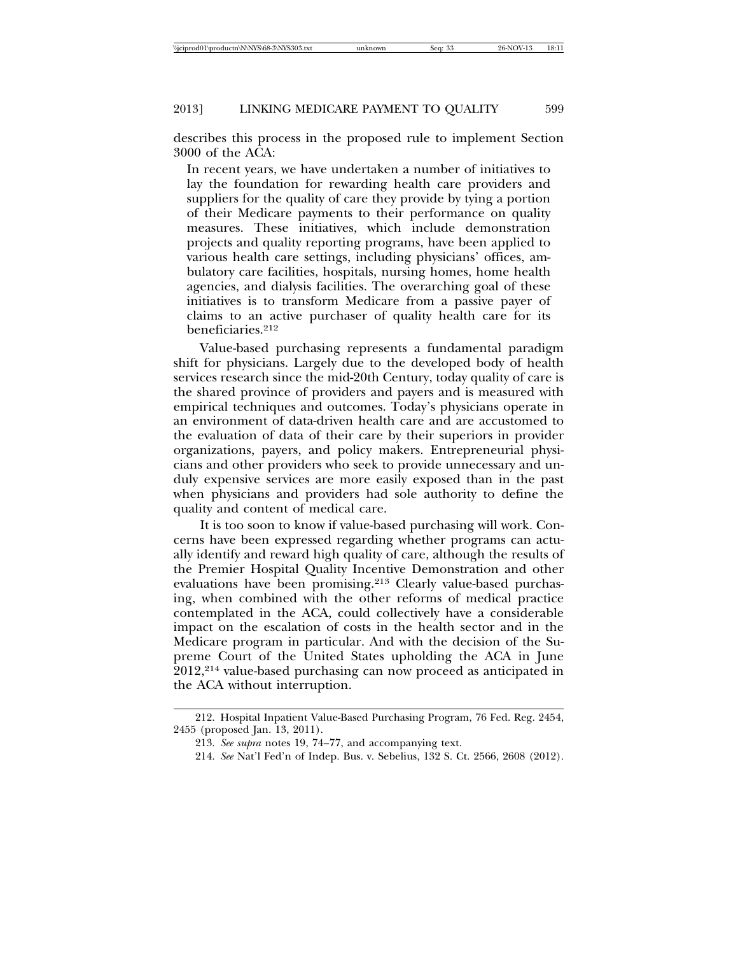describes this process in the proposed rule to implement Section 3000 of the ACA:

In recent years, we have undertaken a number of initiatives to lay the foundation for rewarding health care providers and suppliers for the quality of care they provide by tying a portion of their Medicare payments to their performance on quality measures. These initiatives, which include demonstration projects and quality reporting programs, have been applied to various health care settings, including physicians' offices, ambulatory care facilities, hospitals, nursing homes, home health agencies, and dialysis facilities. The overarching goal of these initiatives is to transform Medicare from a passive payer of claims to an active purchaser of quality health care for its beneficiaries.<sup>212</sup>

Value-based purchasing represents a fundamental paradigm shift for physicians. Largely due to the developed body of health services research since the mid-20th Century, today quality of care is the shared province of providers and payers and is measured with empirical techniques and outcomes. Today's physicians operate in an environment of data-driven health care and are accustomed to the evaluation of data of their care by their superiors in provider organizations, payers, and policy makers. Entrepreneurial physicians and other providers who seek to provide unnecessary and unduly expensive services are more easily exposed than in the past when physicians and providers had sole authority to define the quality and content of medical care.

It is too soon to know if value-based purchasing will work. Concerns have been expressed regarding whether programs can actually identify and reward high quality of care, although the results of the Premier Hospital Quality Incentive Demonstration and other evaluations have been promising.213 Clearly value-based purchasing, when combined with the other reforms of medical practice contemplated in the ACA, could collectively have a considerable impact on the escalation of costs in the health sector and in the Medicare program in particular. And with the decision of the Supreme Court of the United States upholding the ACA in June 2012,214 value-based purchasing can now proceed as anticipated in the ACA without interruption.

<sup>212.</sup> Hospital Inpatient Value-Based Purchasing Program, 76 Fed. Reg. 2454, 2455 (proposed Jan. 13, 2011).

<sup>213.</sup> *See supra* notes 19, 74–77, and accompanying text.

<sup>214.</sup> *See* Nat'l Fed'n of Indep. Bus. v. Sebelius, 132 S. Ct. 2566, 2608 (2012).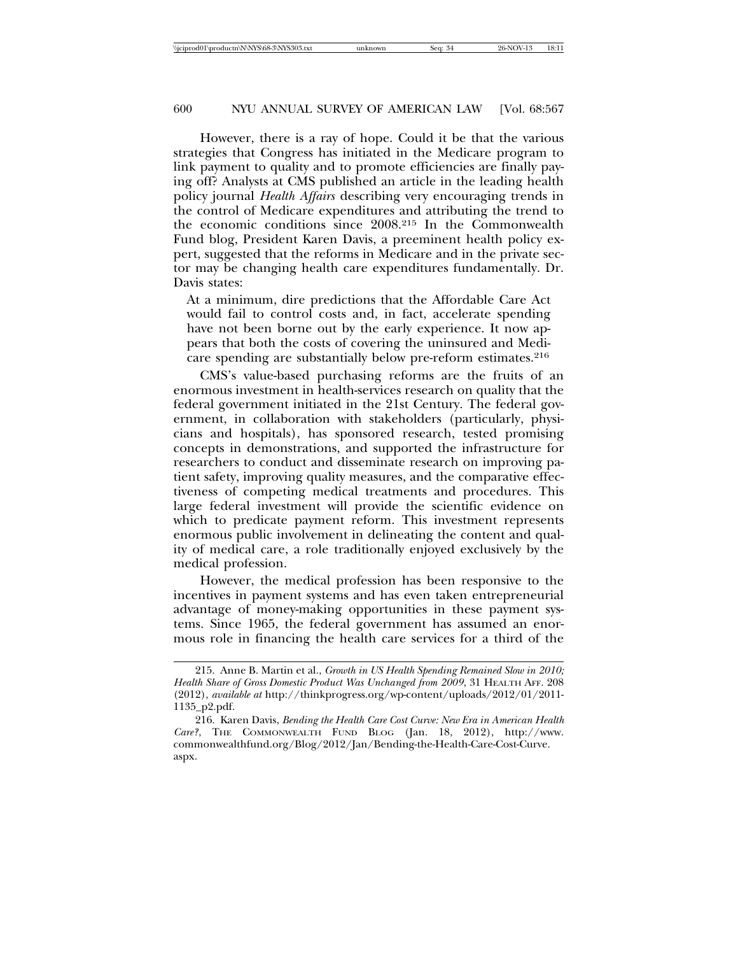However, there is a ray of hope. Could it be that the various strategies that Congress has initiated in the Medicare program to link payment to quality and to promote efficiencies are finally paying off? Analysts at CMS published an article in the leading health policy journal *Health Affairs* describing very encouraging trends in the control of Medicare expenditures and attributing the trend to the economic conditions since 2008.215 In the Commonwealth Fund blog, President Karen Davis, a preeminent health policy expert, suggested that the reforms in Medicare and in the private sector may be changing health care expenditures fundamentally. Dr. Davis states:

At a minimum, dire predictions that the Affordable Care Act would fail to control costs and, in fact, accelerate spending have not been borne out by the early experience. It now appears that both the costs of covering the uninsured and Medicare spending are substantially below pre-reform estimates.<sup>216</sup>

CMS's value-based purchasing reforms are the fruits of an enormous investment in health-services research on quality that the federal government initiated in the 21st Century. The federal government, in collaboration with stakeholders (particularly, physicians and hospitals), has sponsored research, tested promising concepts in demonstrations, and supported the infrastructure for researchers to conduct and disseminate research on improving patient safety, improving quality measures, and the comparative effectiveness of competing medical treatments and procedures. This large federal investment will provide the scientific evidence on which to predicate payment reform. This investment represents enormous public involvement in delineating the content and quality of medical care, a role traditionally enjoyed exclusively by the medical profession.

However, the medical profession has been responsive to the incentives in payment systems and has even taken entrepreneurial advantage of money-making opportunities in these payment systems. Since 1965, the federal government has assumed an enormous role in financing the health care services for a third of the

<sup>215.</sup> Anne B. Martin et al., *Growth in US Health Spending Remained Slow in 2010; Health Share of Gross Domestic Product Was Unchanged from 2009*, 31 HEALTH AFF. 208 (2012), *available at* http://thinkprogress.org/wp-content/uploads/2012/01/2011- 1135\_p2.pdf.

<sup>216.</sup> Karen Davis, *Bending the Health Care Cost Curve: New Era in American Health Care?*, THE COMMONWEALTH FUND BLOG (Jan. 18, 2012), http://www. commonwealthfund.org/Blog/2012/Jan/Bending-the-Health-Care-Cost-Curve. aspx.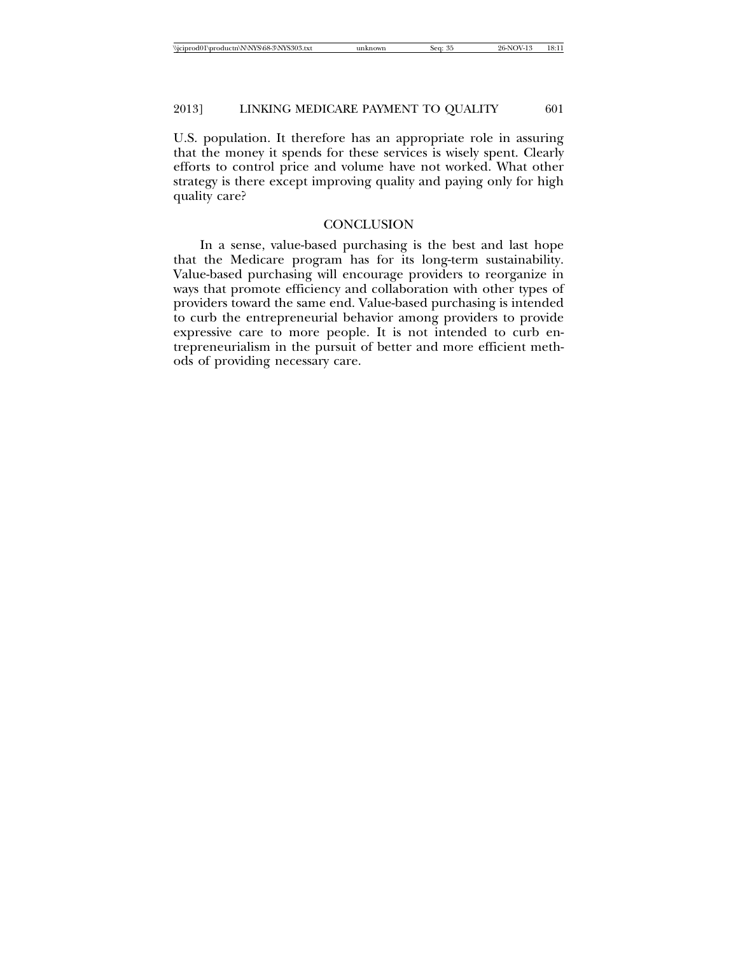U.S. population. It therefore has an appropriate role in assuring that the money it spends for these services is wisely spent. Clearly efforts to control price and volume have not worked. What other strategy is there except improving quality and paying only for high quality care?

#### **CONCLUSION**

In a sense, value-based purchasing is the best and last hope that the Medicare program has for its long-term sustainability. Value-based purchasing will encourage providers to reorganize in ways that promote efficiency and collaboration with other types of providers toward the same end. Value-based purchasing is intended to curb the entrepreneurial behavior among providers to provide expressive care to more people. It is not intended to curb entrepreneurialism in the pursuit of better and more efficient methods of providing necessary care.